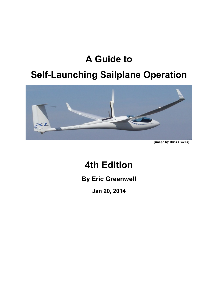# **A Guide to**

# **Self-Launching Sailplane Operation**



**(image by Russ Owens)**

# **4th Edition**

**By Eric Greenwell**

**Jan 20, 2014**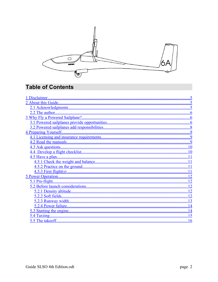

## **Table of Contents**

| $\overline{12}$ |  |
|-----------------|--|
|                 |  |
|                 |  |
|                 |  |
|                 |  |
|                 |  |
|                 |  |
|                 |  |
| 16              |  |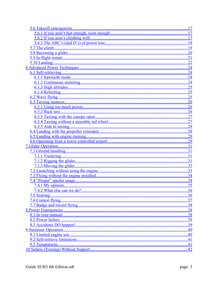| .17 |
|-----|
|     |
|     |
|     |
| 19  |
|     |
|     |
|     |
|     |
|     |
|     |
|     |
|     |
|     |
|     |
|     |
|     |
|     |
|     |
|     |
|     |
|     |
|     |
|     |
|     |
|     |
|     |
|     |
|     |
|     |
|     |
|     |
| 35  |
|     |
| 36  |
| 37  |
|     |
| 38  |
| 38  |
| 39  |
| 39  |
| 40  |
| 40  |
|     |
|     |
|     |
| 42  |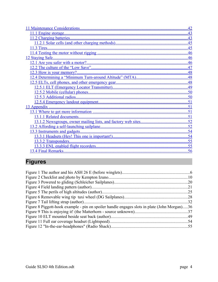| 42  |
|-----|
| 43  |
| .43 |
| 45  |
| 45  |
| 46  |
| 46  |
| 46  |
| 47  |
| .48 |
| .48 |
|     |
| 49  |
| .50 |
| 50  |
| .51 |
|     |
|     |
|     |
| .52 |
| .52 |
| 54  |
| 54  |
| 55  |
| .55 |
| .56 |

## <span id="page-3-0"></span>**Figures**

| Figure 8 Piggott-hook example - pin on spoiler handle engages slots in plate (John Morgan)36 |  |
|----------------------------------------------------------------------------------------------|--|
|                                                                                              |  |
|                                                                                              |  |
|                                                                                              |  |
|                                                                                              |  |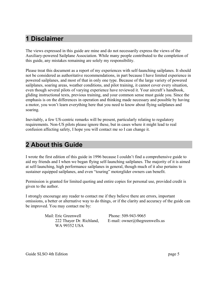## <span id="page-4-0"></span>**1 Disclaimer**

The views expressed in this guide are mine and do not necessarily express the views of the Auxiliary-powered Sailplane Association. While many people contributed to the completion of this guide, any mistakes remaining are solely my responsibility.

Please treat this document as a report of my experiences with self-launching sailplanes. It should not be considered as authoritative recommendations, in part because I have limited experience in powered sailplanes, and most of that in only one type. Because of the large variety of powered sailplanes, soaring areas, weather conditions, and pilot training, it cannot cover every situation, even though several pilots of varying experience have reviewed it. Your aircraft's handbook, gliding instructional texts, previous training, and your common sense must guide you. Since the emphasis is on the differences in operation and thinking made necessary and possible by having a motor, you won't learn everything here that you need to know about flying sailplanes and soaring.

Inevitably, a few US-centric remarks will be present, particularly relating to regulatory requirements. Non-US pilots please ignore these, but in cases where it might lead to real confusion affecting safety, I hope you will contact me so I can change it.

## <span id="page-4-1"></span>**2 About this Guide**

I wrote the first edition of this guide in 1996 because I couldn't find a comprehensive guide to aid my friends and I when we began flying self-launching sailplanes. The majority of it is aimed at self-launching, high performance sailplanes in general, though much of it also pertains to sustainer equipped sailplanes, and even "touring" motorglider owners can benefit.

Permission is granted for limited quoting and entire copies for personal use, provided credit is given to the author.

I strongly encourage any reader to contact me if they believe there are errors, important omissions, a better or alternative way to do things, or if the clarity and accuracy of the guide can be improved. You may contact me by:

> Mail: Eric Greenwell 222 Thayer Dr. Richland, WA 99352 USA

Phone: 509-943-9065 E-mail: owner@thegreenwells.us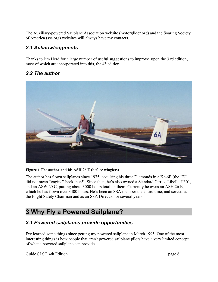The Auxiliary-powered Sailplane Association website (motorglider.org) and the Soaring Society of America (ssa.org) websites will always have my contacts.

### <span id="page-5-3"></span>*2.1 Acknowledgments*

Thanks to Jim Herd for a large number of useful suggestions to improve upon the 3 rd edition, most of which are incorporated into this, the  $4<sup>th</sup>$  edition.

### <span id="page-5-2"></span>*2.2 The author*



#### **Figure 1 The author and his ASH 26 E (before winglets)**

The author has flown sailplanes since 1975, acquiring his three Diamonds in a Ka-6E (the "E" did not mean "engine" back then!). Since then, he's also owned a Standard Cirrus, Libelle H301, and an ASW 20 C, putting about 3000 hours total on them. Currently he owns an ASH 26 E, which he has flown over 3400 hours. He's been an SSA member the entire time, and served as the Flight Safety Chairman and as an SSA Director for several years.

## <span id="page-5-1"></span>**3 Why Fly a Powered Sailplane?**

#### <span id="page-5-0"></span>*3.1 Powered sailplanes provide opportunities*

I've learned some things since getting my powered sailplane in March 1995. One of the most interesting things is how people that aren't powered sailplane pilots have a very limited concept of what a powered sailplane can provide.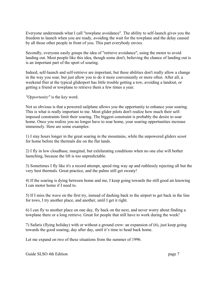Everyone understands what I call "towplane avoidance". The ability to self-launch gives you the freedom to launch when you are ready, avoiding the wait for the towplane and the delay caused by all those other people in front of you. This part everybody envies.

Secondly, everyone easily grasps the idea of "retrieve avoidance", using the motor to avoid landing out. Most people like this idea, though some don't, believing the chance of landing out is is an important part of the sport of soaring.

Indeed, self-launch and self-retrieve are important, but these abilities don't really allow a change in the way you soar, but just allow you to do it more conveniently or more often. After all, a weekend flier at the typical gliderport has little trouble getting a tow, avoiding a landout, or getting a friend or towplane to retrieve them a few times a year.

*"Opportunity"* is the key word.

Not so obvious is that a powered sailplane allows you the opportunity to enhance your soaring. This is what is really important to me. Most glider pilots don't realize how much their selfimposed constraints limit their soaring. The biggest constraint is probably the desire to soar home. Once you realize you no longer have to soar home, your soaring opportunities increase immensely. Here are some examples:

1) I stay hours longer in the great soaring in the mountains, while the unpowered gliders scoot for home before the thermals die on the flat lands.

2) I fly in low cloudbase, marginal, but exhilarating conditions when no one else will bother launching, because the lift is too unpredictable.

3) Sometimes I fly like it's a record attempt, speed ring way up and ruthlessly rejecting all but the very best thermals. Great practice, and the palms still get sweaty!

4) If the soaring is dying between home and me, I keep going towards the still good air knowing I can motor home if I need to.

5) If I miss the wave on the first try, instead of dashing back to the airport to get back in the line for tows, I try another place, and another, until I get it right.

6) I can fly to another place on one day, fly back on the next, and never worry about finding a towplane there or a long retrieve. Great for people that still have to work during the week!

7) Safaris (flying holiday) with or without a ground crew: an expansion of (6), just keep going towards the good soaring, day after day, until it's time to head back home.

Let me expand on two of these situations from the summer of 1996.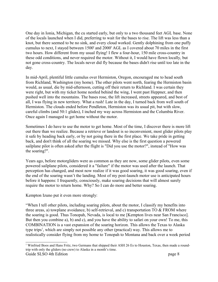One day in Ionia, Michigan, the cu started early, but only to a two thousand feet AGL base. None of the locals launched when I did, preferring to wait for the bases to rise. The lift was less than a knot, but there seemed to be no sink, and every cloud worked. Gently dolphining from one puffy cumulus to next, I stayed between 1500' and 2000' AGL as I covered about 70 miles in the first two hours. How different from my usual flying! I flew a four-hour, 150 mile cross-country in these odd conditions, and never required the motor. Without it, I would have flown locally, but not gone cross-country. The locals never did fly because the bases didn't rise until too late in the day.

In mid-April, plentiful little cumulus over Hermiston, Oregon, encouraged me to head south from Richland, Washington (my home). The other pilots went north, fearing the Hermiston basin would, as usual, die by mid-afternoon, cutting off their return to Richland. I was certain they were right, but with my ticket home nestled behind the wing, I went past Heppner, and then pushed well into the mountains. The bases rose, the lift increased, streets appeared, and best of all, I was flying in new territory. What a rush! Late in the day, I turned back from well south of Hermiston. The clouds ended before Pendleton, Hermiston was its usual pit, but with slow, careful climbs (and 50:1 glides), I inched my way across Hermiston and the Columbia River. Once again I managed to get home without the motor.

Sometimes I do have to use the motor to get home. Most of the time, I discover there is more lift out there than we realize. Because a retrieve or landout is so inconvenient, most glider pilots play it safe by heading back early, or by not going there in the first place. We take pride in getting back, and don't think of all the soaring we missed. Why else is the first question a powered sailplane pilot is often asked after the flight is "Did you use the motor?", instead of "How was the soaring?".

Years ago, before motorgliders were as common as they are now, some glider pilots, even some powered sailplane pilots, considered it a "failure" if the motor was used after the launch. That perception has changed, and most now realize if it was good soaring, it was good soaring, even if the end of the soaring wasn't the landing. Most of my post-launch motor use is anticipated hours before it happens: I frequently, consciously, make soaring decisions that will almost surely require the motor to return home. Why? So I can do more and better soaring.

Kempton Izuno put it even more strongly:

"When I tell other pilots, including soaring pilots, about the motor, I classify my benefits into three areas, a) towplane avoidance, b) self-retrieval, and c) transportation  $TO & FROM$  where the soaring is good. Thus Tonopah, Nevada, is local to me [Kempton lives near San Francisco]. But then you combine a), b) and c), and you have the ability to safari on your own! To me, this COMBINATION is a vast expansion of the soaring horizon. This allows the Texas to Alaska type trips<sup>[1](#page-7-0)</sup>, which are simply not possible any other (practical) way. This allows me to realistically consider flying from my home to Tonopah to Montana and back over a week period

<span id="page-7-0"></span><sup>&</sup>lt;sup>1</sup> Winfried Boos and Hans Fritz, two Germans that shipped their ASH 26 Es to Houston, Texas, then made a roundtrip with only the gliders (no crew) to Alaska in a month's time. Guide SLSO 4th Edition page 8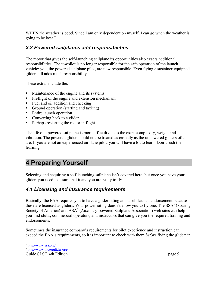WHEN the weather is good. Since I am only dependent on myself, I can go when the weather is going to be best."

#### <span id="page-8-2"></span>*3.2 Powered sailplanes add responsibilities*

The motor that gives the self-launching sailplane its opportunities also exacts additional responsibilities. The towpilot is no longer responsible for the safe operation of the launch vehicle: you, the powered sailplane pilot, are now responsible. Even flying a sustainer-equipped gilder still adds much responsibility.

These extras include the:

- Maintenance of the engine and its systems
- **Preflight of the engine and extension mechanism**
- Fuel and oil addition and checking
- Ground operation (starting and taxiing)
- Entire launch operation
- Converting back to a glider
- **Perhaps restarting the motor in flight**

The life of a powered sailplane is more difficult due to the extra complexity, weight and vibration. The powered glider should not be treated as casually as the unpowered gliders often are. If you are not an experienced airplane pilot, you will have a lot to learn. Don't rush the learning.

## <span id="page-8-1"></span>**4 Preparing Yourself**

Selecting and acquiring a self-launching sailplane isn't covered here, but once you have your glider, you need to assure that it and you are ready to fly.

#### <span id="page-8-0"></span>*4.1 Licensing and insurance requirements*

Basically, the FAA requires you to have a glider rating and a self-launch endorsement because these are licensed as gliders. Your power rating doesn't allow you to fly one. The SSA<sup>[2](#page-8-3)</sup> (Soaring Society of America) and ASA<sup>[3](#page-8-4)</sup> (Auxiliary-powered Sailplane Association) web sites can help you find clubs, commercial operators, and instructors that can give you the required training and endorsements.

Sometimes the insurance company's requirements for pilot experience and instruction can exceed the FAA's requirements, so it is important to check with them *before* flying the glider; in

<span id="page-8-3"></span><sup>&</sup>lt;sup>2</sup> <http://www.ssa.org/>

<span id="page-8-4"></span><sup>&</sup>lt;sup>3</sup> <http://www.motorglider.org/>

Guide SLSO 4th Edition page 9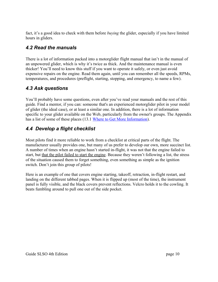fact, it's a good idea to check with them before *buying* the glider, especially if you have limited hours in gliders.

#### <span id="page-9-2"></span>*4.2 Read the manuals*

There is a lot of information packed into a motorglider flight manual that isn't in the manual of an unpowered glider, which is why it's twice as thick. And the maintenance manual is even thicker! You'll need to know this stuff if you want to operate it safely, or even just avoid expensive repairs on the engine. Read them again, until you can remember all the speeds, RPMs, temperatures, and procedures (preflight, starting, stopping, and emergency, to name a few).

### <span id="page-9-1"></span>*4.3 Ask questions*

You'll probably have some questions, even after you've read your manuals and the rest of this guide. Find a mentor, if you can: someone that's an experienced motorglider pilot in your model of glider (the ideal case), or at least a similar one. In addition, there is a lot of information specific to your glider available on the Web, particularly from the owner's groups. The Appendix has a list of some of these places [\(13.1](#page-57-3) [Where to Get More Information\)](#page-57-3).

### <span id="page-9-0"></span>*4.4 Develop a flight checklist*

Most pilots find it more reliable to work from a checklist at critical parts of the flight. The manufacturer usually provides one, but many of us prefer to develop our own, more succinct list. A number of times when an engine hasn't started in-flight, it was not that the engine failed to start, but that the pilot failed to start the engine. Because they weren't following a list, the stress of the situation caused them to forget something, even something as simple as the ignition switch. Don't join this group of pilots!

Here is an example of one that covers engine starting, takeoff, retraction, in-flight restart, and landing on the different tabbed pages. When it is flipped up (most of the time), the instrument panel is fully visible, and the black covers prevent reflections. Velcro holds it to the cowling. It beats fumbling around to pull one out of the side pocket.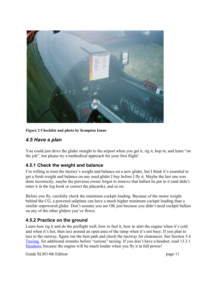

#### **Figure 2 Checklist and photo by Kempton Izuno**

#### <span id="page-10-2"></span>*4.5 Have a plan*

You could just drive the glider straight to the airport when you get it, rig it, hop in, and learn "on the job", but please try a methodical approach for your first flight!

#### <span id="page-10-1"></span>**4.5.1 Check the weight and balance**

I'm willing to trust the factory's weight and balance on a new glider, but I think it's essential to get a fresh weight and balance on any used glider I buy before I fly it. Maybe the last one was done incorrectly, maybe the previous owner forgot to remove that ballast he put in it (and didn't enter it in the log book or correct the placards), and so on.

Before you fly, carefully check the minimum cockpit loading. Because of the motor weight behind the CG, a powered sailplane can have a much higher minimum cockpit loading than a similar unpowered glider. Don't assume you are OK just because you didn't need cockpit ballast on any of the other gliders you've flown.

#### <span id="page-10-0"></span>**4.5.2 Practice on the ground**

Learn how rig it and do the preflight well, how to fuel it, how to start the engine when it's cold and when it's hot, then taxi around an open area of the ramp when it's not busy. If you plan to taxi to the runway, figure out the best path and check the taxiway for clearances. See Section [5.4](#page-15-0) [Taxiing](#page-15-0) for additional remarks before "serious" taxiing. If you don't have a headset, read [13.3.1](#page-59-0) [Headsets,](#page-59-0) because the engine will be much louder when you fly it at full power!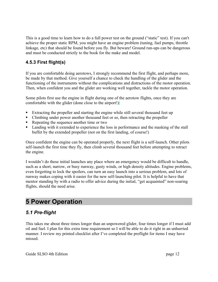This is a good time to learn how to do a full power test on the ground ("static" test). If you can't achieve the proper static RPM, you might have an engine problem (tuning, fuel pumps, throttle linkage, etc) that should be found before you fly. But beware! Ground run-ups can be dangerous and must be conducted strictly to the book for the make and model.

#### <span id="page-11-2"></span>**4.5.3 First flight(s)**

If you are comfortable doing aerotows, I strongly recommend the first flight, and perhaps more, be made by that method. Give yourself a chance to check the handling of the glider and the functioning of the instruments without the complications and distractions of the motor operation. Then, when confident you and the glider are working well together, tackle the motor operation.

Some pilots first use the engine in flight during one of the aerotow flights, once they are comfortable with the glider (done close to the airport!):

- Extracting the propeller and starting the engine while still several thousand feet up
- Climbing under power another thousand feet or so, then retracting the propeller
- Repeating the sequence another time or two
- **Landing with it extended to experience the loss in performance and the masking of the stall** buffet by the extended propeller (not on the first landing, of course!)

Once confident the engine can be operated properly, the next flight is a self-launch. Other pilots self-launch the first time they fly, then climb several thousand feet before attempting to retract the engine.

I wouldn't do these initial launches any place where an emergency would be difficult to handle, such as a short, narrow, or busy runway, gusty winds, or high density altitudes. Engine problems, even forgetting to lock the spoilers, can turn an easy launch into a serious problem, and lots of runway makes coping with it easier for the new self-launching pilot. It is helpful to have that mentor standing by with a radio to offer advice during the initial, "get acquainted" non-soaring flights, should the need arise.

## <span id="page-11-1"></span>**5 Power Operation**

#### <span id="page-11-0"></span>*5.1 Pre-flight*

This takes me about three times longer than an unpowered glider, four times longer if I must add oil and fuel. I plan for this extra time requirement so I will be able to do it right in an unhurried manner. I review my printed checklist after I've completed the preflight for items I may have missed.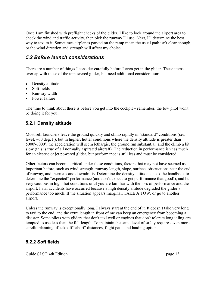Once I am finished with preflight checks of the glider, I like to look around the airport area to check the wind and traffic activity, then pick the runway I'll use. Next, I'll determine the best way to taxi to it. Sometimes airplanes parked on the ramp mean the usual path isn't clear enough, or the wind direction and strength will affect my choice.

#### <span id="page-12-2"></span>*5.2 Before launch considerations*

There are a number of things I consider carefully before I even get in the glider. These items overlap with those of the unpowered glider, but need additional consideration:

- Density altitude
- Soft fields
- Runway width
- Power failure

The time to think about these is before you get into the cockpit – remember, the tow pilot won't be doing it for you!

#### <span id="page-12-1"></span>**5.2.1 Density altitude**

Most self-launchers leave the ground quickly and climb rapidly in "standard" conditions (sea level, ~60 deg. F), but in higher, hotter conditions where the density altitude is greater than 5000'-6000', the acceleration will seem lethargic, the ground run substantial, and the climb a bit slow (this is true of all normally aspirated aircraft). The reduction in performance isn't as much for an electric or jet powered glider, but performance is still less and must be considered.

Other factors can become critical under these conditions, factors that may not have seemed as important before, such as wind strength, runway length, slope, surface, obstructions near the end of runway, and thermals and downdrafts. Determine the density altitude, check the handbook to determine the "expected" performance (and don't expect to get performance that good!), and be very cautious in high, hot conditions until you are familiar with the loss of performance and the airport. Fatal accidents have occurred because a high density altitude degraded the glider's performance too much. If the situation appears marginal, TAKE A TOW, or go to another airport.

Unless the runway is exceptionally long, I always start at the end of it. It doesn't take very long to taxi to the end, and the extra length in front of me can keep an emergency from becoming a disaster. Some pilots with gliders that don't taxi well or engines that don't tolerate long idling are tempted to use less than the full length. To maintain the same level of safety requires even more careful planning of takeoff "abort" distances, flight path, and landing options.

#### <span id="page-12-0"></span>**5.2.2 Soft fields**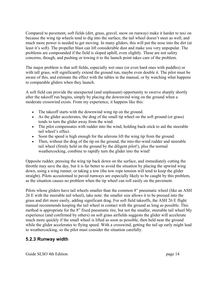Compared to pavement, soft fields (dirt, grass, gravel, snow on runway) make it harder to taxi on because the wing tip wheels tend to dig into the surface, the tail wheel doesn't steer as well, and much more power is needed to get moving. In many gliders, this will put the nose into the dirt (at least it's soft). The propeller blast can lift considerable dust and make you very unpopular. The problems are compounded if the field is sloped uphill, even slightly. These are not safety concerns, though, and pushing or towing it to the launch point takes care of the problem.

The major problem is that soft fields, especially wet ones (or even hard ones with puddles) or with tall grass, will significantly extend the ground run, maybe even double it. The pilot must be aware of this, and estimate the effect with the tables in the manual, or by watching what happens to comparable gliders when they launch.

A soft field can provide the unexpected (and unpleasant) opportunity to swerve sharply shortly after the takeoff run begins, simply by placing the downwind wing on the ground when a moderate crosswind exists. From my experience, it happens like this:

- The takeoff starts with the downwind wing tip on the ground.
- As the glider accelerates, the drag of the small tip wheel on the soft ground (or grass) tends to turn the glider away from the wind.
- The pilot compensates with rudder into the wind, holding back-stick to aid the steerable tail wheel's effect.
- Soon the speed is high enough for the ailerons lift the wing tip from the ground.
- Then, without the drag of the tip on the ground, the into-the-wind rudder and steerable tail wheel (firmly held on the ground by the diligent pilot!), plus the normal weathercocking, combine to rapidly turn the glider into the wind!

Opposite rudder, pressing the wing tip back down on the surface, and immediately cutting the throttle may save the day, but it is far better to avoid the situation by placing the upwind wing down, using a wing runner, or taking a tow (the tow rope tension will tend to keep the glider straight). Pilots accustomed to paved runways are especially likely to be caught by this problem, as the situation causes no problem when the tip wheel can roll easily on the pavement.

Pilots whose gliders have tail wheels smaller than the common 8" pneumatic wheel (like an ASH 26 E with the steerable tail wheel), take note: the smaller size allows it to be pressed into the grass and dirt more easily, adding significant drag. For soft field takeoffs, the ASH 26 E flight manual recommends keeping the tail wheel in contact with the ground as long as possible. This method is appropriate for the 8" fixed pneumatic tire, but not the smaller, steerable tail wheel My experience (and confirmed by others) on soft grass airfields suggests the glider will accelerate much more quickly if the small wheel is lifted as soon as possible, then held near the ground while the glider accelerates to flying speed. With a crosswind, getting the tail up early might lead to weathercocking, so the pilot must consider the situation carefully.

#### <span id="page-13-0"></span>**5.2.3 Runway width**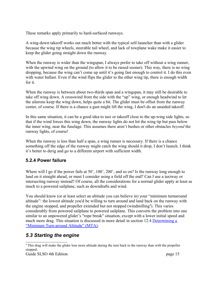These remarks apply primarily to hard-surfaced runways.

A wing-down takeoff works out much better with the typical self-launcher than with a glider because the wing tip wheels, steerable tail wheel, and lack of towplane wake make it easier to keep the glider going straight down the runway.

When the runway is wider than the wingspan, I always prefer to take off without a wing runner, with the upwind wing on the ground (to allow it to be raised sooner). This way, there is no wing dropping, because the wing can't come up until it's going fast enough to control it. I do this even with water ballast. Even if the wind flips the glider to the other wing tip, there is enough width for it.

When the runway is between about two-thirds span and a wingspan, it may still be desirable to take off wing down. A crosswind from the side with the "up" wing, or enough headwind to let the ailerons keep the wing down, helps quite a bit. The glider must be offset from the runway center, of course. If there is a chance a gust might lift the wing, I don't do an unaided takeoff.

In this same situation, it can be a good idea to taxi or takeoff close to the up-wing side lights, so that if the wind forces this wing down, the runway lights do not hit the wing tip but pass below the inner wing, near the fuselage. This assumes there aren't bushes or other obstacles *beyond* the runway lights, of course!

When the runway is less than half a span, a wing runner is necessary. If there is a chance something off the edge of the runway might catch the wing should it drop, I don't launch. I think it's better to derig and go to a different airport with sufficient width.

#### <span id="page-14-1"></span>**5.2.4 Power failure**

Where will I go if the power fails at 50', 100', 200', and so on? Is the runway long enough to land on it straight ahead, or must I consider using a field off the end? Can I use a taxiway or intersecting runway instead? Of course, all the considerations for a normal glider apply at least as much to a powered sailplane, such as downdrafts and wind.

You should know (or at least select an altitude you can believe in) your "minimum turnaround altitude": the lowest altitude you'd be willing to turn around and land back on the runway with the engine stopped, and propeller extended but not stopped (windmilling<sup>[4](#page-14-2)</sup>). This varies considerably from powered sailplane to powered sailplane. This converts the problem into one similar to an unpowered glider's "rope break" situation, except with a lower initial speed and much more drag. This situation is discussed in more detail in section [12.4](#page-51-0) [Determining a](#page-51-0)  ["Minimum Turn-around Altitude" \(MTA\).](#page-51-0)

### <span id="page-14-0"></span>*5.3 Starting the engine*

<span id="page-14-2"></span><sup>&</sup>lt;sup>4</sup> This drag will make the glider lose more altitude during the turn back to the runway than with the propeller stopped.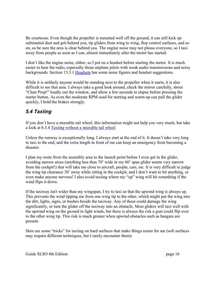Be courteous: Even though the propeller is mounted well off the ground, it can still kick up substantial dust and grit behind you, tip gliders from wing to wing, flop control surfaces, and so on, so be sure the area is clear behind you. The engine noise may not please everyone, so I taxi away from people as soon as I can, almost immediately after the motor has started.

I don't like the engine noise, either, so I put on a headset before starting the motor. It is much easier to hear the radio, especially those airplane pilots with weak audio transmissions and noisy backgrounds. Section [13.3.1](#page-59-0) [Headsets](#page-59-0) has some noise figures and headset suggestions.

While it is unlikely anyone would be standing next to the propeller when it starts, it is also difficult to see that area. I always take a good look around, check the mirror carefully, shout "Clear Prop!" loudly out the window, and allow a few seconds to elapse before pressing the starter button. As even the moderate RPM used for starting and warm-up can pull the glider quickly, I hold the brakes strongly.

### <span id="page-15-0"></span>*5.4 Taxiing*

If you don't have a steerable tail wheel, this information might not help you very much, but take a look at [6.3.4 Taxiing without a steerable t](#page-29-2)ail wheel

Unless the runway is exceptionally long, I always start at the end of it. It doesn't take very long to taxi to the end, and the extra length in front of me can keep an emergency from becoming a disaster.

I plan my route from the assembly area to the launch point before I even get in the glider, avoiding narrow areas (anything less than 70' wide in my 60' span glider seems very narrow from the cockpit!) that will take me close to aircraft, people, cars, etc. It is very difficult to judge the wing tip clearance 30' away while sitting in the cockpit, and I don't want to hit anything, or even make anyone nervous! I also avoid taxiing where my "up" wing will hit something if the wind flips it down.

If the taxiway isn't wider than my wingspan, I try to taxi so that the upwind wing is always up. This prevents the wind tipping me from one wing tip to the other, which might put the wing into the dirt, lights, signs, or bushes beside the taxiway. Any of these could damage the wing significantly, or turn the glider off the taxiway into an obstacle. Most gliders will taxi well with the upwind wing on the ground in light winds, but there is always the risk a gust could flip over to the other wing tip. This risk is much greater when upwind obstacles such as hangars are present.

Here are some "tricks" for taxiing on hard surfaces that make things easier for me (soft surfaces may require different techniques, but I rarely encounter them):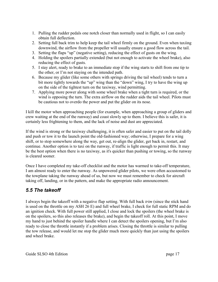- 1. Pulling the rudder pedals one notch closer than normally used in flight, so I can easily obtain full deflection.
- 2. Setting full back trim to help keep the tail wheel firmly on the ground. Even when taxiing downwind, the airflow from the propeller will usually ensure a good flow across the tail.
- 3. Setting the flaps "up" (negative setting), reducing the effect of gusts on the wing.
- 4. Holding the spoilers partially extended (but not enough to activate the wheel brake), also reducing the effect of gusts.
- 5. I stay alert, ready to brake to an immediate stop if the wing starts to shift from one tip to the other, or I'm not staying on the intended path.
- 6. Because my glider (like some others with springs driving the tail wheel) tends to turn a bit more tightly towards the "up" wing than the "down" wing, I try to have the wing up on the side of the tightest turn on the taxiway, wind permitting.
- 7. Applying more power along with some wheel brake when a tight turn is required, or the wind is opposing the turn. The extra airflow on the rudder aids the tail wheel. Pilots must be cautious not to overdo the power and put the glider on its nose.

I kill the motor when approaching people (for example, when approaching a group of gliders and crew waiting at the end of the runway) and coast slowly up to them. I believe this is safer, it is certainly less frightening to them, and the lack of noise and dust are appreciated.

If the wind is strong or the taxiway challenging, it is often safer and easier to put on the tail dolly and push or tow it to the launch point the old-fashioned way; otherwise, I prepare for a wing shift, or to stop somewhere along the way, get out, re-align the glider, get back in, restart, and continue. Another option is to taxi on the runway, if traffic is light enough to permit this. It may be the best option when there is no taxiway, as it's quicker than pushing or towing, so the runway is cleared sooner.

Once I have completed my take-off checklist and the motor has warmed to take-off temperature, I am almost ready to enter the runway. As unpowered glider pilots, we were often accustomed to the towplane taking the runway ahead of us, but now we must remember to check for aircraft taking off, landing, or in the pattern, and make the appropriate radio announcement.

### <span id="page-16-0"></span>*5.5 The takeoff*

I always begin the takeoff with a negative flap setting. With full back *trim* (since the stick hand is used on the throttle on my ASH 26 E) and full wheel brake, I check for full static RPM and do an ignition check. With full power still applied, I close and lock the spoilers (the wheel brake is on the spoilers, so this also releases the brake), and begin the takeoff roll. At this point, I move my hand to just behind the spoiler handle where I can detect the spoilers opening, but I'm also ready to close the throttle instantly if a problem arises. Closing the throttle is similar to pulling the tow release, and would let me stop the glider much more quickly than just using the spoilers and wheel brake.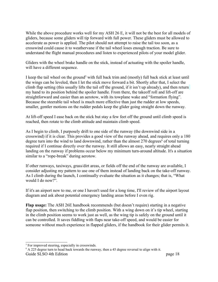While the above procedure works well for my ASH 26 E, it will not be the best for all models of gliders, because some gliders will tip forward with full power. These gliders must be allowed to accelerate as power is applied. The pilot should not attempt to raise the tail too soon, as a crosswind could cause it to weathervane if the tail wheel loses enough traction. Be sure to understand the flight manual procedures and listen to experienced pilots of your model glider.

Gliders with the wheel brake handle on the stick, instead of actuating with the spoiler handle, will have a different sequence.

I keep the tail wheel on the ground<sup>[5](#page-17-0)</sup> with full back trim and (mostly) full back stick at least until the wings can be leveled, then I let the stick move forward a bit. Shortly after that, I select the climb flap setting (this usually lifts the tail off the ground, if it isn't up already), and then return my hand to its position behind the spoiler handle. From there, the takeoff roll and lift-off are straightforward and easier than an aerotow, with its towplane wake and "formation flying". Because the steerable tail wheel is much more effective than just the rudder at low speeds, smaller, gentler motions on the rudder pedals keep the glider going straight down the runway.

At lift-off speed I ease back on the stick but stay a few feet off the ground until climb speed is reached, then rotate to the climb attitude and maintain climb speed.

As I begin to climb, I purposely drift to one side of the runway (the downwind side in a crosswind) if it is clear. This provides a good view of the runway ahead, and requires only a 180 degree turn into the wind to land downwind, rather than the almost 270 degrees<sup>[6](#page-17-1)</sup> of total turning required if I continue directly over the runway. It still allows an easy, nearly straight ahead landing on the runway if problems occur below my minimum turn-around altitude. It's a situation similar to a "rope-break" during aerotow.

If other runways, taxiways, grass/dirt areas, or fields off the end of the runway are available, I consider adjusting my pattern to use one of them instead of landing back on the take-off runway. As I climb during the launch, I continually evaluate the situation as it changes; that is, "What would I do now?".

If it's an airport new to me, or one I haven't used for a long time, I'll review of the airport layout diagram and ask about potential emergency landing areas before I even rig.

**Flap usage:** The ASH 26E handbook recommends (but doesn't require) starting in a negative flap position, then switching to the climb position. With a wing down on it's tip wheel, starting in the climb position seems to work just as well, as the wing tip is safely on the ground until it can be controlled. It saves fiddling with flaps near take-off speed, and would be easier for someone without much experience in flapped gliders, if the handbook for their glider permits it.

<span id="page-17-0"></span><sup>&</sup>lt;sup>5</sup> For improved steering, especially in crosswinds.

<span id="page-17-1"></span><sup>&</sup>lt;sup>6</sup> A 225 degree turn to head back towards the runway, then a 45 degree reversal to align with it. Guide SLSO 4th Edition page 18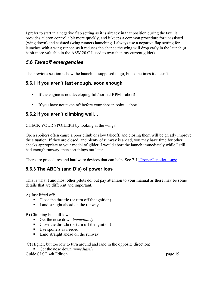I prefer to start in a negative flap setting as it is already in that position during the taxi, it provides aileron control a bit more quickly, and it keeps a common procedure for unassisted (wing down) and assisted (wing runner) launching. I always use a negative flap setting for launches with a wing runner, as it reduces the chance the wing will drop early in the launch (a habit more valuable in the ASW 20 C I used to own than my current glider).

### <span id="page-18-3"></span>*5.6 Takeoff emergencies*

The previous section is how the launch is supposed to go, but sometimes it doesn't.

#### <span id="page-18-2"></span>**5.6.1 If you aren't fast enough, soon enough**

- If the engine is not developing full/normal RPM abort!
- <span id="page-18-1"></span>• If you have not taken off before your chosen point – abort!

#### **5.6.2 If you aren't climbing well…**

CHECK YOUR SPOILERS by looking at the wings!

Open spoilers often cause a poor climb or slow takeoff, and closing them will be greatly improve the situation. If they are closed, and plenty of runway is ahead, you may have time for other checks appropriate to your model of glider. I would abort the launch immediately while I still had enough runway, then sort things out later.

There are procedures and hardware devices that can help. See [7.4](#page-36-1) ["Proper" spoiler usage.](#page-36-1)

### <span id="page-18-0"></span>**5.6.3 The ABC's (and D's) of power loss**

This is what I and most other pilots do, but pay attention to your manual as there may be some details that are different and important.

A) Just lifted off:

- Close the throttle (or turn off the ignition)
- Land straight ahead on the runway

#### B) Climbing but still low:

- Get the nose down *immediately*
- Close the throttle (or turn off the ignition)
- Use spoilers as needed
- Land straight ahead on the runway

C) Higher, but too low to turn around and land in the opposite direction:

Get the nose down *immediately* Guide SLSO 4th Edition page 19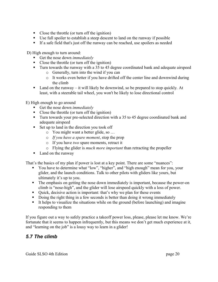- Close the throttle (or turn off the ignition)
- Use full spoiler to establish a steep descent to land on the runway if possible
- If a safe field that's just off the runway can be reached, use spoilers as needed

D) High enough to turn around:

- Get the nose down *immediately*
- Close the throttle (or turn off the ignition)
- Turn towards the runway with a 35 to 45 degree coordinated bank and adequate airspeed
	- o Generally, turn into the wind if you can
	- o It works even better if you have drifted off the center line and downwind during the climb
- Land on the runway it will likely be downwind, so be prepared to stop quickly. At least, with a steerable tail wheel, you won't be likely to lose directional control

E) High enough to go around

- Get the nose down *immediately*
- Close the throttle (or turn off the ignition)
- Turn towards your pre-selected direction with a 35 to 45 degree coordinated bank and adequate airspeed
- Set up to land in the direction you took off
	- o You might want a better glide, so …
	- o *If you have a spare moment*, stop the prop
	- o If you have *two* spare moments, retract it
	- o Flying the glider is *much more important* than retracting the propeller
- Land on the runway

That's the basics of my plan if power is lost at a key point. There are some "nuances":

- You have to determine what "low", "higher", and "high enough" mean for you, your glider, and the launch conditions. Talk to other pilots with gliders like yours, but ultimately it's up to you.
- The emphasis on getting the nose down immediately is important, because the power-on climb is "nose-high", and the glider will lose airspeed quickly with a loss of power.
- Quick, decisive action is important: that's why we plan for these events
- Doing the right thing in a few seconds is better than doing it wrong immediately
- It helps to visualize the situations while on the ground (before launching) and imagine responding to them

If you figure out a way to safely practice a takeoff power loss, please, please let me know. We're fortunate that it seems to happen infrequently, but this means we don't get much experience at it, and "learning on the job" is a lousy way to learn in a glider!

#### <span id="page-19-0"></span>*5.7 The climb*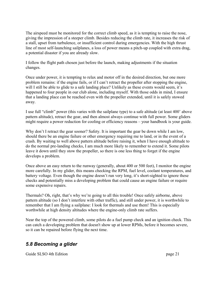The airspeed must be monitored for the correct climb speed, as it is tempting to raise the nose, giving the impression of a steeper climb. Besides reducing the climb rate, it increases the risk of a stall, upset from turbulence, or insufficient control during emergencies. With the high thrust line of most self-launching sailplanes, a loss of power means a pitch-up coupled with extra drag, a potential disaster if you are already slow.

I follow the flight path chosen just before the launch, making adjustments if the situation changes.

Once under power, it is tempting to relax and motor off in the desired direction, but one more problem remains: if the engine fails, or if I can't retract the propeller after stopping the engine, will I still be able to glide to a safe landing place? Unlikely as these events would seem, it's happened to four people in our club alone, including myself. With those odds in mind, I ensure that a landing place can be reached even with the propeller extended, until it is safely stowed away.

I use full "climb" power (this varies with the sailplane type) to a safe altitude (at least 400' above pattern altitude), retract the gear, and then almost always continue with full power. Some gliders might require a power reduction for cooling or efficiency reasons – your handbook is your guide.

Why don't I retract the gear sooner? Safety. It is important the gear be down while I am low, should there be an engine failure or other emergency requiring me to land, or in the event of a crash. By waiting to well above pattern altitude before raising it, when I have enough altitude to do the normal pre-landing checks, I am much more likely to remember to extend it. Some pilots leave it down until they stow the propeller, so there is one less thing to forget if the engine develops a problem.

Once above an easy return to the runway (generally, about 400 or 500 feet), I monitor the engine more carefully. In my glider, this means checking the RPM, fuel level, coolant temperatures, and battery voltage. Even though the engine doesn't run very long, it's short-sighted to ignore these checks and potentially miss a developing problem that could cause an engine failure or require some expensive repairs.

Thermals? Oh, right, that's why we're going to all this trouble! Once safely airborne, above pattern altitude (so I don't interfere with other traffic), and still under power, it is worthwhile to remember that I am flying a sailplane: I look for thermals and use them! This is especially worthwhile at high density altitudes where the engine-only climb rate suffers.

Near the top of the powered climb, some pilots do a fuel pump check and an ignition check. This can catch a developing problem that doesn't show up at lower RPMs, before it becomes severe, so it can be repaired before flying the next time.

### <span id="page-20-0"></span>*5.8 Becoming a glider*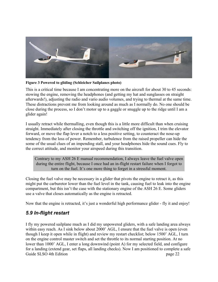

**Figure 3 Powered to gliding (Schleicher Sailplanes photo)**

This is a critical time because I am concentrating more on the aircraft for about 30 to 45 seconds: stowing the engine, removing the headphones (and getting my hat and sunglasses on straight afterwards!), adjusting the radio and vario audio volumes, and trying to thermal at the same time. These distractions prevent me from looking around as much as I normally do. No one should be close during the process, so I don't motor up to a gaggle or snuggle up to the ridge until I am a glider again!

I usually retract while thermalling, even though this is a little more difficult than when cruising straight. Immediately after closing the throttle and switching off the ignition, I trim the elevator forward, or move the flap lever a notch to a less positive setting, to counteract the nose-up tendency from the loss of power. Remember, turbulence from the raised propeller can hide the some of the usual clues of an impending stall, and your headphones hide the sound cues. Fly to the correct attitude, and monitor your airspeed during this transition.

Contrary to my ASH 26 E manual recommendation, I always leave the fuel valve open during the entire flight, because I once had an in-flight restart failure when I forgot to turn on the fuel. It's one more thing to forget in a stressful moment.

Closing the fuel valve may be necessary in a glider that pivots the engine to retract it, as this might put the carburetor lower than the fuel level in the tank, causing fuel to leak into the engine compartment, but this isn't the case with the stationary engine of the ASH 26 E. Some gliders use a valve that closes automatically as the engine is retracted.

Now that the engine is retracted, it's just a wonderful high performance glider - fly it and enjoy!

### <span id="page-21-0"></span>*5.9 In-flight restart*

I fly my powered sailplane much as I did my unpowered gliders, with a safe landing area always within easy reach. As I sink below about 2000' AGL, I ensure that the fuel valve is open (even though I keep it open while in flight) and review my restart checklist; below 1500' AGL, I turn on the engine control master switch and set the throttle to its normal starting position. At no lower than 1000' AGL, I enter a long downwind (point A) for my selected field, and configure for a landing (extend gear, set flaps, all landing checks). Now I am positioned to complete a safe Guide SLSO 4th Edition page 22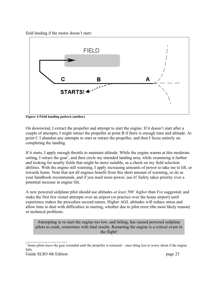field landing if the motor doesn't start:



**Figure 4 Field landing pattern (author)**

On downwind, I extract the propeller and attempt to start the engine. If it doesn't start after a couple of attempts, I might retract the propeller at point B if there is enough time and altitude. At point C I abandon any attempts to start or retract the propeller, and then I focus entirely on completing the landing.

If it starts, I apply enough throttle to maintain altitude. While the engine warms at this moderate setting, I retract the gear<sup>[7](#page-22-0)</sup>, and then circle my intended landing area, while examining it further and looking for nearby fields that might be more suitable, as a check on my field selection abilities. With the engine still warming, I apply increasing amounts of power to take me to lift, or towards home. Note that not all engines benefit from this short amount of warming, so do as your handbook recommends, and if you need more power, use it! Safety takes priority over a potential increase in engine life.

A new powered sailplane pilot should use altitudes *at least 500' higher* than I've suggested, and make the first few restart attempts over an airport (or practice over the home airport) until experience makes the procedure second nature. Higher AGL altitudes will reduce stress and allow time to deal with difficulties in starting, whether due to pilot error (the most likely reason) or technical problems.

Attempting to re-start the engine too low, and failing, has caused powered sailplane pilots to crash, sometimes with fatal results. Restarting the engine is a critical event in the flight!

<span id="page-22-0"></span><sup>&</sup>lt;sup>7</sup> Some pilots leave the gear extended until the propeller is retracted – once thing less to worry about if the engine fails.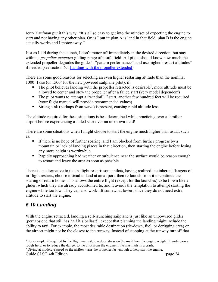Jerry Kaufman put it this way: "It's all so easy to get into the mindset of expecting the engine to start and not having any other plan. Or as I put it: plan A is land in that field; plan B is the engine actually works and I motor away."

Just as I did during the launch, I don't motor off immediately in the desired direction, but stay within a *propeller-extended* gliding range of a safe field. All pilots should know how much the extended propeller degrades the glider's "pattern performance", and use higher "restart altitudes" if needed (see section [6.4](#page-29-0) [Landing with the propeller extended\)](#page-29-0).

There are some good reasons for selecting an even higher restarting altitude than the nominal 1000' I use (or 1500' for the new powered sailplane pilot), if:

- $\blacksquare$  The pilot believes landing with the propeller retracted is desirable<sup>[8](#page-23-1)</sup>, more altitude must be allowed to center and stow the propeller after a failed start (very model dependent)
- The pilot wants to attempt a "windmill" start, another few hundred feet will be required (your flight manual will provide recommended values)
- Strong sink (perhaps from wave) is present, causing rapid altitude loss

The altitude required for these situations is best determined while practicing over a familiar airport before experiencing a failed start over an unknown field!

There are some situations when I might choose to start the engine much higher than usual, such as:

- If there is no hope of further soaring, and I am blocked from further progress by a mountain or lack of landing places in that direction, then starting the engine before losing any more height is worthwhile.
- Rapidly approaching bad weather or turbulence near the surface would be reason enough to restart and leave the area as soon as possible.

There is an alternative to the in-flight restart: some pilots, having realized the inherent dangers of in-flight restarts, choose instead to land at an airport, then re-launch from it to continue the soaring or return home. This allows the entire flight (except for the launches) to be flown like a glider, which they are already accustomed to, and it avoids the temptation to attempt starting the engine while too low. They can also work lift somewhat lower, since they do not need extra altitude to start the engine.

### <span id="page-23-0"></span>*5.10 Landing*

With the engine retracted, landing a self-launching sailplane is just like an unpowered glider (perhaps one that still has half it's ballast!), except that planning the landing might include the ability to taxi. For example, the most desirable destination (tie-down, fuel, or derigging area) on the airport might not be the closest to the runway. Instead of stopping at the runway turnoff that

<span id="page-23-1"></span><sup>&</sup>lt;sup>8</sup> For example, if required by the flight manual, to reduce stress on the mast from the engine weight if landing on a rough field, or to reduce the danger to the pilot from the engine if the mast fails in a crash.

<span id="page-23-2"></span><sup>&</sup>lt;sup>9</sup> Diving at moderate speed so the airflow turns the propeller fast enough to help start the engine.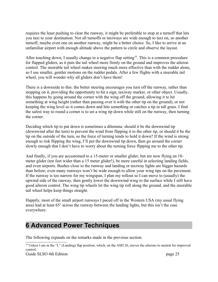requires the least pushing to clear the runway, it might be preferable to stop at a turnoff that lets you taxi to your destination. Not all turnoffs or taxiways are wide enough to taxi on, so another turnoff, maybe even one on another runway, might be a better choice. So, I like to arrive at an unfamiliar airport with enough altitude above the pattern to circle and observe the layout.

After touching down, I usually change to a negative flap setting<sup>[10](#page-24-1)</sup>. This is a common procedure for flapped gliders, as it puts the tail wheel more firmly on the ground and improves the aileron control. The steerable tail wheel makes steering much more effective than with the rudder alone, so I use smaller, gentler motions on the rudder pedals. After a few flights with a steerable tail wheel, you will wonder why all gliders don't have them!

There is a downside to this: the better steering encourages you turn off the runway, rather than stopping on it, providing the opportunity to hit a sign, taxiway marker, or other object. Usually, this happens by going around the corner with the wing off the ground, allowing it to hit something at wing height (rather than passing over it with the other tip on the ground), or not keeping the wing level so it comes down and hits something or catches a tip in tall grass. I find the safest way to round a corner is to set a wing tip down while still on the runway, then turning the corner.

Deciding which tip to put down is sometimes a dilemma: should it be the downwind tip (downwind after the turn) to prevent the wind from flipping it to the other tip, or should it be the tip on the outside of the turn, so the force of turning tends to hold it down? If the wind is strong enough to risk flipping the wing, I'll put the downwind tip down, then go around the corner slowly enough that I don't have to worry about the turning force flipping me to the other tip.

And finally, if you are accustomed to a 15-meter or smaller glider, but are now flying an 18 meter glider (ten feet wider than a 15 meter glider!), be more careful in selecting landing fields, and even airports. Bushes close to the runway and landing or taxiway lights are bigger hazards than before; even many runways won't be wide enough to allow your wing tips on the pavement. If the runway is too narrow for my wingspan, I plan my rollout so I can move to (usually) the upwind side of the runway, then gently lower the downwind wing to the surface while I still have good aileron control. The wing tip wheels let the wing tip roll along the ground, and the steerable tail wheel helps keep things straight.

Happily, most of the small airport runways I paced off in the Western USA (my usual flying area) had at least 65' across the runway between the landing lights, but this isn't the case everywhere.

## <span id="page-24-0"></span>**6 Advanced Power Techniques**

The following expands on the remarks made in the previous section.

<span id="page-24-1"></span> $10$  Unless I am in the "L" (Landing) flap position, which, on the ASH 26, moves the ailerons to neutral for improved control.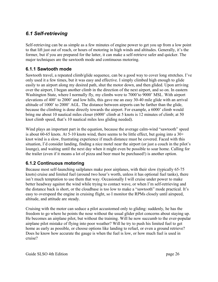### <span id="page-25-2"></span>*6.1 Self-retrieving*

Self-retrieving can be as simple as a few minutes of engine power to get you up from a low point to that lift just out of reach, or hours of motoring in high winds and altitudes. Generally, it's the former, but if you are prepared for the latter, it can make a self-retrieve safer and quicker. The major techniques are the sawtooth mode and continuous motoring.

#### <span id="page-25-1"></span>**6.1.1 Sawtooth mode**

Sawtooth travel, a repeated climb/glide sequence, can be a good way to cover long stretches. I've only used it a few times, but it was easy and effective. I simply climbed high enough to glide easily to an airport along my desired path, shut the motor down, and then glided. Upon arriving over the airport, I began another climb in the direction of the next airport, and so on. In eastern Washington State, where I normally fly, my climbs were to 7000'to 9000' MSL. With airport elevations of 400' to 2000' and low hills, this gave me an easy 30-40 mile glide with an arrival altitude of 1000' to 2000' AGL. The distance between airports can be farther than the glide, because the climbing is done directly towards the airport. For example, a 6000' climb would bring me about 10 nautical miles closer (6000' climb at 5 knots is 12 minutes of climb; at 50 knot climb speed, that's 10 nautical miles less gliding needed).

Wind plays an important part in the equation, because the average calm-wind "sawtooth" speed is about 60-65 knots. At 5-10 knots wind, there seems to be little effect, but going into a 30+ knot wind is a slow, frustrating experience if much distance must be covered. Faced with this situation, I'd consider landing, finding a nice motel near the airport (or just a couch in the pilot's lounge), and waiting until the next day when it might even be possible to soar home. Calling for the trailer (even if it means a lot of pizza and beer must be purchased!) is another option.

#### <span id="page-25-0"></span>**6.1.2 Continuous motoring**

Because most self-launching sailplanes make poor airplanes, with their slow (typically 65-75 knots) cruise and limited fuel (around two hour's worth, unless it has optional fuel tanks), there isn't much temptation to use them that way. Occasionally I will cruise under power to make better headway against the wind while trying to contact wave, or when I'm self-retrieving and the distance back is short, or the cloudbase is too low to make a "sawtooth" mode practical. It's easy to overspeed the engine in cruising flight, so I monitor the RPMs closely until airspeed, altitude, and attitude are steady.

Cruising with the motor can seduce a pilot accustomed only to gliding: suddenly, he has the freedom to go where he points the nose without the usual glider pilot concerns about staying up. He becomes an airplane pilot, but without the training. Will he now succumb to the ever-popular airplane pilot mistake of flying into poor weather? Will he try to push his limited fuel to get home as early as possible, or choose options like landing to refuel, or even a ground retrieve? Does he know how accurate the gauge is when the fuel is low, or how much fuel is used in cruise?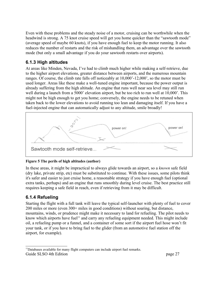Even with these problems and the steady noise of a motor, cruising can be worthwhile when the headwind is strong. A 75 knot cruise speed will get you home quicker than the "sawtooth mode" (average speed of maybe 60 knots), if you have enough fuel to keep the motor running. It also reduces the number of restarts and the risk of mishandling them, an advantage over the sawtooth mode (but only a small advantage if you do your sawtooth restarts over airports).

#### <span id="page-26-1"></span>**6.1.3 High altitudes**

At areas like Minden, Nevada, I've had to climb much higher while making a self-retrieve, due to the higher airport elevations, greater distance between airports, and the numerous mountain ranges. Of course, the climb rate falls off noticeably at 10,000'-12,000', so the motor must be used longer. Areas like these make a well-tuned engine important, because the power output is already suffering from the high altitude. An engine that runs well near sea level may still run well during a launch from a 5000' elevation airport, but be too rich to run well at 10,000'. This might not be high enough to get you home; conversely, the engine needs to be retuned when taken back to the lower elevations to avoid running too lean and damaging itself. If you have a fuel-injected engine that can automatically adjust to any altitude, smile broadly!



#### **Figure 5 The perils of high altitudes (author)**

In these areas, it might be impractical to always glide towards an airport, so a *known* safe field (dry lake, private strip, etc) must be substituted to continue. With these issues, some pilots think it's safer and easier to just cruise home, a reasonable strategy if you have enough fuel (optional extra tanks, perhaps) and an engine that runs smoothly during level cruise. The best practice still requires keeping a safe field in reach, even if retrieving from it may be difficult.

#### <span id="page-26-0"></span>**6.1.4 Refueling**

Starting the flight with a full tank will leave the typical self-launcher with plenty of fuel to cover 200 miles or more (even 300+ miles in good conditions) without soaring, but distance, mountains, winds, or prudence might make it necessary to land for refueling. The pilot needs to know which airports have fuel<sup>[11](#page-26-2)</sup> and carry any refueling equipment needed. This might include oil, a refueling pump or a funnel, and a container of some sort if the airport fuel hose won't fit your tank, or if you have to bring fuel to the glider (from an automotive fuel station off the airport, for example).

<span id="page-26-2"></span><sup>&</sup>lt;sup>11</sup>Databases available for many flight computers can include airport fuel remarks. Guide SLSO 4th Edition page 27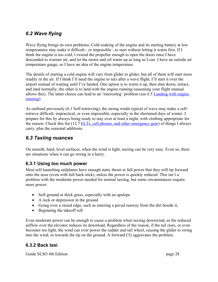### <span id="page-27-3"></span>*6.2 Wave flying*

Wave flying brings its own problems. Cold soaking of the engine and its starting battery at low temperatures may make it difficult - or impossible - to start without letting it warm first. If I think the engine is too cold, I extend the propeller enough to open the doors once I have descended to warmer air, and let the motor and oil warm up as long as I can. I have an outside air temperature gauge, so I have an idea of the engine temperature.

The details of starting a cold engine will vary from glider to glider, but all of them will start more readily in the air. If I think I'll need the engine to taxi after a wave flight, I'll start it over the airport instead of waiting until I've landed. One option is to warm it up, then shut down, retract, and land normally; the other is to land with the engine running (assuming your flight manual allows this). The latter choice can lead to an 'interesting' problem (see [6.5](#page-30-0) [Landing with engine](#page-30-0)  [running\)](#page-30-0).

As outlined previously [\(6.1](#page-25-2) [Self-retrieving\)](#page-25-2), the strong winds typical of wave may make a selfretrieve difficult, impractical, or even impossible, especially in the shortened days of winter. I prepare for this by always being ready to stay over at least a night, with clothing appropriate for the season. Check this list [\(12.7](#page-53-2) [ELTs, cell phones, and other emergency gear\)](#page-53-2) of things I always carry, plus the seasonal additions.

#### <span id="page-27-2"></span>*6.3 Taxiing nuances*

On smooth, hard, level surfaces, when the wind is light, taxiing can be very easy. Even so, there are situations when it can go wrong in a hurry.

#### <span id="page-27-1"></span>**6.3.1 Using too much power**

Most self-launching sailplanes have enough static thrust at full power that they will tip forward onto the nose (even with full back stick), unless the power is quickly reduced. This isn't a problem with the moderate power needed for normal taxiing, but some circumstances require more power:

- Soft ground or thick grass, especially with an upslope
- A rock or depression in the ground
- Going over a raised edge, such as entering a paved runway from the dirt beside it,
- Beginning the takeoff roll

Even moderate power can be enough to cause a problem when taxiing downwind, as the reduced airflow over the elevator reduces its download. Regardless of the reason, if the tail rises, or even becomes too light, the wind can over power the rudder and tail wheel, causing the glider to swing into the wind, or towards the tip on the ground. A forward CG aggravates the problem.

#### <span id="page-27-0"></span>**6.3.2 Back taxi**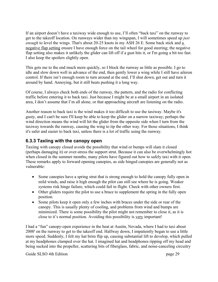If an airport doesn't have a taxiway wide enough to use, I'll often "back taxi" on the runway to get to the takeoff location. On runways wider than my wingspan, I will sometimes speed up *just enough* to level the wings. That's about 20-25 knots in my ASH 26 E. Some back stick and a negative flap setting ensure I have enough force on the tail wheel for good steering; the negative flap setting also makes it unlikely the glider can lift off if a gust hits it, or I'm going a bit too fast. I also keep the spoilers slightly open.

This gets me to the end much more quickly, so I block the runway as little as possible. I go to idle and slow down well in advance of the end, then gently lower a wing while I still have aileron control. If there isn't enough room to turn around at the end, I'll shut down, get out and turn it around by hand. Annoying, but it still beats pushing it a long way.

Of course, I always check both ends of the runway, the pattern, and the radio for conflicting traffic before entering it to back taxi. Just because I might be at a small airport in an isolated area, I don't assume that I'm all alone, or that approaching aircraft are listening on the radio.

Another reason to back taxi is the wind makes it too difficult to use the taxiway. Maybe it's gusty, and I can't be sure I'll keep be able to keep the glider on a narrow taxiway; perhaps the wind direction means the wind will hit the glider from the opposite side when I turn from the taxiway towards the runway, causing the wing to tip the other way. For those situations, I think it's safer and easier to back taxi, unless there is a lot of traffic using the runway.

#### <span id="page-28-0"></span>**6.3.3 Taxiing with the canopy open**

Taxiing with canopy closed avoids the possibility that wind or bumps will slam it closed (perhaps damaging it) or over-stress the support strut. Because it can also be overwhelmingly hot when closed in the summer months, many pilots have figured out how to safely taxi with it open. These remarks apply to forward opening canopies, as side hinged canopies are generally not as vulnerable:

- Some canopies have a spring strut that is strong enough to hold the canopy fully open in mild winds, and raise it high enough the pilot can still see where he is going. Weaker systems risk hinge failure, which could fail in flight. Check with other owners first.
- Other gliders require the pilot to use a brace to supplement the spring in the fully open position.
- Some pilots keep it open only a few inches with braces under the side or rear of the canopy. This is usually plenty of cooling, and problems from wind and bumps are minimized. There is some possibility the pilot might not remember to close it, as it is close to it's normal position. Avoiding this possibility is very important!

I had a "fun" canopy-open experience in the heat at Austin, Nevada, where I had to taxi about 2000' on the runway to get to the takeoff end. Halfway down, I impatiently began to use a little more speed. Suddenly, I felt my hat brim flip up, causing substantial lift to develop, which pulled at my headphones clamped over the hat. I imagined hat and headphones ripping off my head and being sucked into the propeller, scattering bits of fiberglass, fabric, and noise-canceling circuitry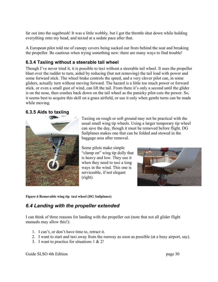far out into the sagebrush! It was a little wobbly, but I got the throttle shut down while holding everything onto my head, and taxied at a sedate pace after that.

A European pilot told me of canopy covers being sucked out from behind the seat and breaking the propeller. Be cautious when trying something new: there are many ways to find trouble!

#### <span id="page-29-2"></span>**6.3.4 Taxiing without a steerable tail wheel**

Though I've never tried it, it is possible to taxi without a steerable tail wheel. It uses the propeller blast over the rudder to turn, aided by reducing (but not removing) the tail load with power and some forward stick. The wheel brake controls the speed, and a very clever pilot can, in some gliders, actually turn without moving forward. The hazard is a little too much power or forward stick, or even a small gust of wind, can lift the tail. From there it's only a second until the glider is on the nose, then crashes back down on the tail wheel as the panicky pilot cuts the power. So, it seems best to acquire this skill on a grass airfield, or use it only when gentle turns can be made while moving.

#### <span id="page-29-1"></span>**6.3.5 Aids to taxiing**



Taxiing on rough or soft ground may not be practical with the usual small wing tip wheels. Using a larger temporary tip wheel can save the day, though it must be removed before flight. DG Sailplanes makes one that can be folded and stowed in the baggage area after removal.

Some pilots make simple "clamp on" wing tip dolly that is heavy and low. They use it when they need to taxi a long ways in the wind. This one is serviceable, if not elegant (right).



**Figure 6 Removable wing tip taxi wheel (DG Sailplanes)**

### <span id="page-29-0"></span>*6.4 Landing with the propeller extended*

I can think of three reasons for landing with the propeller out (note that not all glider flight manuals may allow this!):

- 1. I can't, or don't have time to, retract it.
- 2. I want to start and taxi away from the runway as soon as possible (at a busy airport, say).
- 3. I want to practice for situations 1 & 2!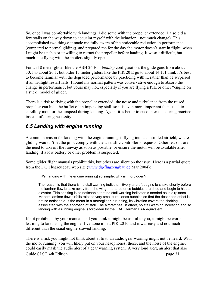So, once I was comfortable with landings, I did some with the propeller extended (I also did a few stalls on the way down to acquaint myself with the behavior – not much change). This accomplished two things: it made me fully aware of the noticeable reduction in performance (compared to normal gliding), and prepared me for the day the motor doesn't start in flight, when I might be unable or unwilling to retract the propeller before landing. It wasn't difficult, but much like flying with the spoilers slightly open.

For an 18 meter glider like the ASH 26 E in *landing* configuration, the glide goes from about 30:1 to about 20:1, but older 15 meter gliders like the PIK 20 E go to about 14:1. I think it's best to become familiar with the degraded performance by practicing with it, rather than be surprised if an in-flight restart fails. I found my normal pattern was conservative enough to absorb the change in performance, but yours may not, especially if you are flying a PIK or other "engine on a stick" model of glider.

There is a risk to flying with the propeller extended: the noise and turbulence from the raised propeller can hide the buffet of an impending stall, so it is even more important than usual to carefully monitor the airspeed during landing. Again, it is better to encounter this during practice instead of during necessity.

#### <span id="page-30-0"></span>*6.5 Landing with engine running*

A common reason for landing with the engine running is flying into a controlled airfield, where gliding wouldn't let the pilot comply with the air traffic controller's requests. Other reasons are the need to taxi off the runway as soon as possible, or ensure the motor will be available after landing, if a low battery or other problem is suspected.

Some glider flight manuals prohibit this, but others are silent on the issue. Here is a partial quote from the DG Flugzeugbau web site [\(www.dg-flugzeugbau.de](http://www.dg-flugzeugbau.de/) Mar 2004):

If it's [landing with the engine running] so simple, why is it forbidden?

The reason is that there is no stall warning indicator. Every aircraft begins to shake shortly before the laminar flow breaks away from the wing and turbulence bubbles are shed and begin to hit the elevator. This shaking is so noticeable that no stall warning indicator is needed as in airplanes. Modern laminar flow airfoils release very small turbulence bubbles so that the described effect is not so noticeable. If the motor in a motorglider is running, its vibration covers the shaking associated with the approach of stall. The aircraft has, in effect, no stall warning indication and so landing with a running engine is forbidden by the LBA [German FAA equivalent].

If not prohibited by your manual, and you think it might be useful to you, it might be worth learning to land using the engine. I've done it in a PIK 20 E, and it was easy and not much different than the usual engine-stowed landing.

There is a risk you might not think about at first: an audio gear warning might not be heard. With the motor running, you will likely put on your headphones; those, and the noise of the engine, could easily mask the audio alert of a gear warning system. A very loud alert, an alert that also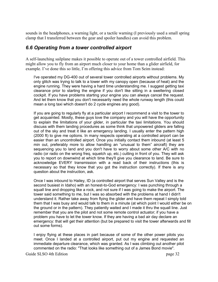sounds in the headphones, a warning light, or a tactile warning (I previously used a small spring clamp that I transferred between the gear and spoiler handles) can avoid this problem.

#### <span id="page-31-0"></span>*6.6 Operating from a tower controlled airport*

A self-launching sailplane makes it possible to operate out of a tower controlled airfield. This might allow you to fly from an airport much closer to your home than a glider airfield, for example. I've done this so little, I'm offering this advice from Tom Seim instead:

I've operated my DG-400 out of several tower controlled airports without problems. My only glitch was trying to talk to a tower with my canopy open (because of heat) and the engine running. They were having a hard time understanding me. I suggest getting taxi clearance prior to starting the engine if you don't like sitting in a sweltering closed cockpit. If you have problems starting your engine you can always cancel the request. And let them know that you don't necessarily need the whole runway length (this could mean a long taxi which doesn't do 2 cycle engines any good).

If you are going to regularly fly at a particular airport I recommend a visit to the tower to get acquainted. Mostly, these guys love the company and you will have the opportunity to explain the limitations of your glider, in particular the taxi limitations. You should discuss with them landing procedures as some think that unpowered gliders are falling out of the sky and treat it like an emergency landing. I usually enter the pattern high (2000 ft) to give me options. In many respects operating at a controlled airport can be easier than an uncontrolled airport. Once you initially contact them inbound (at least 5 min out, preferably more to allow handling an "unusual to them" aircraft) they are sequencing you to land and you don't have to worry about some other A/C with no radio (or radio on the wrong freq, squelch up, etc.) cutting in front of you. They will ask you to report on downwind at which time they'll give you clearance to land. Be sure to acknowledge EVERY transmission with a read back of their instructions (this is necessary so that they know that you got the instruction correctly). If there is any question about the instruction, ask.

Once I was inbound to Hailey, ID (a controlled airport that serves Sun Valley and is the second busiest in Idaho) with an honest-to-God emergency: I was punching through a squall line and dropping like a rock, and not sure if I was going to make the airport. The tower said something to me, but I was so absorbed with the problems at hand I didn't understand it. Rather take away from flying the glider and have them repeat I simply told them that I was busy and would talk to them in a minute (at which point I would either be on the ground or in the pattern). They patiently waited and I made it thru the squall line. Just remember that you are the pilot and not some remote control actuator; if you have a problem you have to let the tower know. If they are having a bad air day declare an emergency: that will get their attention (but be prepared to visit the tower afterwards and fill out some forms).

I enjoy flying at these places in part because of some of the other power pilots you meet. Once I landed at a controlled airport, put out my engine and requested an immediate departure clearance, which was granted. As I was climbing out another pilot commented on the radio: "That looks like something out of a James Bond movie".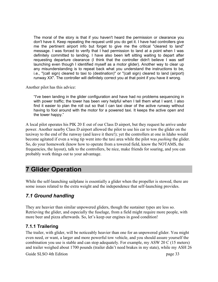The moral of the story is that if you haven't heard the permission or clearance you don't have it. Keep repeating the request until you do get it. I have had controllers give me the pertinent airport info but forget to give me the critical "cleared to land" message. I was forced to verify that I had permission to land at a point when I was definitely committed to landing. I have also been left sitting waiting to depart after requesting departure clearance (I think that the controller didn't believe I was self launching even though I identified myself as a motor glider). Another way to clear up any misunderstanding is to repeat back what you understand the instructions to be, i.e., "(call sign) cleared to taxi to (destination)" or "(call sign) cleared to land (airport) runway XX". The controller will definitely correct you at that point if you have it wrong.

Another pilot has this advice:

"I've been landing in the glider configuration and have had no problems sequencing in with power traffic; the tower has been very helpful when I tell them what I want. I also find it easier to plan the roll out so that I can taxi clear of the active runway without having to fool around with the motor for a powered taxi. It keeps the active open and the tower happy."

A local pilot operates his PIK 20 E out of our Class D airport, but they request he arrive under power. Another nearby Class D airport allowed the pilot to use his car to tow the glider on the taxiway to the end of the runway (and leave it there!); yet the controllers at one in Idaho would become agitated if even a wing tip went into the taxi area while the pilot was *pushing* the glider. So, do your homework (know how to operate from a towered field, know the NOTAMS, the frequencies, the layout), talk to the controllers, be nice, make friends for soaring, and you can probably work things out to your advantage.

## <span id="page-32-2"></span>**7 Glider Operation**

While the self-launching sailplane is essentially a glider when the propeller is stowed, there are some issues related to the extra weight and the independence that self-launching provides.

#### <span id="page-32-1"></span>*7.1 Ground handling*

They are heavier than similar unpowered gliders, though the sustainer types are less so. Retrieving the glider, and especially the fuselage, from a field might require more people, with more beer and pizza afterwards. So, let's keep our engines in good condition!

#### <span id="page-32-0"></span>**7.1.1 Trailering**

The trailer, with glider, will be noticeably heavier than one for an unpowered glider. You might even need, or want, a larger and more powerful tow vehicle, and you should assure yourself the combination you use is stable and can stop adequately. For example, my ASW 20 C (15 meters) and trailer weighed about 1700 pounds (trailer didn't need brakes in my state), while my ASH 26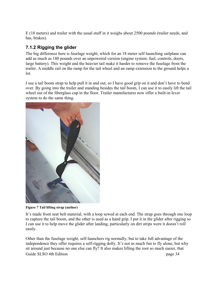E (18 meters) and trailer with the usual stuff in it weighs about 2500 pounds (trailer needs, and has, brakes).

#### <span id="page-33-0"></span>**7.1.2 Rigging the glider**

The big difference here is fuselage weight, which for an 18 meter self-launching sailplane can add as much as 180 pounds over an unpowered version (engine system, fuel, controls, doors, large battery). This weight and the heavier tail make it harder to remove the fuselage from the trailer. A middle rail on the ramp for the tail wheel and an ramp extension to the ground helps a lot.

I use a tail boom strap to help pull it in and out, so I have good grip on it and don't have to bend over. By going into the trailer and standing besides the tail boom, I can use it to easily lift the tail wheel out of the fiberglass cup in the floor. Trailer manufactures now offer a built-in lever system to do the same thing.



**Figure 7 Tail lifting strap (author)**

It's made from seat belt material, with a loop sewed at each end. The strap goes through one loop to capture the tail boom, and the other is used as a hand grip. I put it in the glider after rigging so I can use it to help move the glider after landing, particularly on dirt strips were it doesn't roll easily.

Other than the fuselage weight, self-launchers rig normally, but to take full advantage of the independence they offer requires a self-rigging dolly. It's not as much fun to fly alone, but why sit around just because no one else can fly? It also makes lifting the root so much easier, that Guide SLSO 4th Edition page 34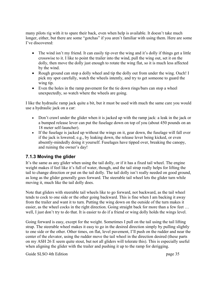many pilots rig with it to spare their back, even when help is available. It doesn't take much longer, either, but there are some "gotchas" if you aren't familiar with using them. Here are some I've discovered:

- The wind isn't my friend. It can easily tip over the wing and it's dolly if things get a little crosswise to it. I like to point the trailer into the wind, pull the wing out, set it on the dolly, then move the dolly just enough to rotate the wing flat, so it is much less affected by the wind.
- Rough ground can stop a dolly wheel and tip the dolly out from under the wing. Ouch! I pick my spot carefully, watch the wheels intently, and try to get someone to guard the wing tip.
- Even the holes in the ramp pavement for the tie down rings/bars can stop a wheel unexpectedly, so watch where the wheels are going.

I like the hydraulic ramp jack quite a bit, but it must be used with much the same care you would use a hydraulic jack on a car:

- Don't crawl under the glider when it is jacked up with the ramp jack: a leak in the jack or a bumped release lever can put the fuselage down on top of you (about 450 pounds on an 18 meter self-launcher).
- If the fuselage is jacked up without the wings on it, gear down, the fuselage will fall over if the jack is lowered; e.g., by leaking down, the release lever being kicked, or even absently-mindedly doing it yourself. Fuselages have tipped over, breaking the canopy, and ruining the owner's day!

#### <span id="page-34-0"></span>**7.1.3 Moving the glider**

It's the same as any glider when using the tail dolly, or if it has a fixed tail wheel. The engine weight makes if feel like it's full of water, though, and the tail strap really helps for lifting the tail to change direction or put on the tail dolly. The tail dolly isn't really needed on good ground, as long as the glider generally goes forward. The steerable tail wheel lets the glider turn while moving it, much like the tail dolly does.

Note that gliders with steerable tail wheels like to go forward, not backward, as the tail wheel tends to cock to one side or the other going backward. This is fine when I am backing it away from the trailer and want it to turn. Putting the wing down on the outside of the turn makes it easier, as the wheel cocks in the right direction. Going straight back for more than a few feet … well, I just don't try to do that. It is easier to do if a friend or wing dolly holds the wings level.

Going forward is easy, except for the weight. Sometimes I pull on the tail using the tail lifting strap. The steerable wheel makes it easy to go in the desired direction simply by pulling slightly to one side or the other. Other times, on flat, level pavement, I'll push on the rudder and near the center of the elevator, using the rudder move the tail wheel in the direction desired (these parts on my ASH 26 E seem quite stout, but not all gliders will tolerate this). This is especially useful when aligning the glider with the trailer and pushing it up to the ramp for derigging.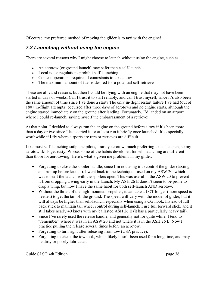Of course, my preferred method of moving the glider is to taxi with the engine!

### <span id="page-35-0"></span>*7.2 Launching without using the engine*

There are several reasons why I might choose to launch without using the engine, such as:

- An aerotow (or ground launch) may safer than a self-launch
- Local noise regulations prohibit self-launching
- Contest operations require all contestants to take a tow
- The maximum amount of fuel is desired for a potential self-retrieve

These are all valid reasons, but then I could be flying with an engine that may not have been started in days or weeks. Can I trust it to start reliably, and can I trust myself, since it's also been the same amount of time since I've done a start? The only in-flight restart failure I've had (out of 180+ in-flight attempts) occurred after three days of aerotows and no engine starts, although the engine started immediately on the ground after landing. Fortunately, I'd landed on an airport where I could re-launch, saving myself the embarrassment of a retrieve!

At that point, I decided to always run the engine on the ground before a tow if it's been more than a day or two since I last started it, or at least run it briefly once launched. It's especially worthwhile if I fly where airports are rare or retrieves are difficult.

Like most self-launching sailplane pilots, I rarely aerotow, much preferring to self-launch, so my aerotow skills get rusty. Worse, some of the habits developed for self-launching are different than those for aerotowing. Here's what's given me problems in my glider:

- Forgetting to close the spoiler handle, since I'm not using it to control the glider (taxiing and run-up before launch). I went back to the technique I used on my ASW 20, which was to start the launch with the spoilers open. This was useful in the ASW 20 to prevent it from dropping a wing early in the launch. My ASH 26 E doesn't seem to be prone to drop a wing, but now I have the same habit for both self-launch AND aerotow.
- Without the thrust of the high-mounted propeller, it can take a LOT longer (more speed is needed) to get the tail off the ground. The speed will vary with the model of glider, but it will always be higher than self-launch, especially when using a CG hook. Instead of full back stick to maintain tail wheel control during self-launch, I use full forward stick, and it still takes nearly 40 knots with my ballasted ASH 26 E (it has a particularly heavy tail).
- Since I've rarely used the release handle, and generally not for quite while, I tend to "remember" where it was in an ASW 20 and not where it is in the ASH 26 E. Now I practice pulling the release several times before an aerotow.
- Forgetting to turn right after releasing from tow (USA practice).
- Forgetting to check the towhook, which likely hasn't been used for a long time, and may be dirty or poorly lubricated.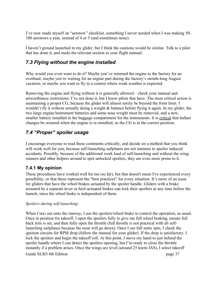I've now made myself an "aerotow" checklist, something I never needed when I was making 50- 100 aerotows a year, instead of 4 or 5 (and sometimes none).

I haven't ground launched in my glider, but I think the cautions would be similar. Talk to a pilot that has done it, and study the relevant section in your flight manual.

### <span id="page-36-2"></span>*7.3 Flying without the engine installed*

Why would you even want to do it? Maybe you've returned the engine to the factory for an overhaul; maybe you're waiting for an engine part during the factory's month-long August vacation; or maybe you want to fly in a contest where weak weather is expected.

Removing the engine and flying without it is generally allowed – check your manual and airworthiness restrictions. I've not done it, but I know pilots that have. The most critical action is maintaining a proper CG, because the glider will almost surely be beyond the front limit. I wouldn't fly it without actually doing a weight & balance before flying it again. In my glider, the two large engine/instrument batteries and some nose weight must be removed, and a new, smaller battery installed in the baggage compartment for the instruments. It is critical that ballast changes be restored when the engine is re-installed, so the CG is in the correct position.

### <span id="page-36-1"></span>*7.4 "Proper" spoiler usage*

I encourage everyone to read these comments critically, and decide on a method that you think will work well for you, because self-launching sailplanes are not immune to spoiler induced accidents. Possibly, because of the additional work load of self-launching and without the wingrunners and other helpers around to spot unlocked spoilers, they are even more prone to it.

#### <span id="page-36-0"></span>**7.4.1 My opinion**

These procedures have worked well for me (so far), but that doesn't mean I've experienced every possibility, or that these represent the "best practices" for every situation. It's more of an issue for gliders that have the wheel brakes actuated by the spoiler handle. Gliders with a brake actuated by a separate lever or heel-actuated brakes can lock their spoilers at any time before the launch, since the wheel brake is independent of them.

#### *Spoilers during self-launching:*

When I taxi out onto the runway, I use the spoilers/wheel brake to control the operation, as usual. Once in position for takeoff, I open the spoilers fully to give me full wheel braking, ensure full back trim is set, and then fully open the throttle (full throttle is not practical with all selflaunching sailplanes because the nose will go down). Once I see full static rpm, I check the ignition circuits for RPM drop (follow the manual for your glider). If the drop is satisfactory, I lock the spoilers and begin the takeoff roll. At this point, I move my hand to just behind the spoiler handle where I can detect the spoilers opening, but I'm ready to close the throttle instantly if a problem arises. Once the wings are level (around 25 knots IAS), I select takeoff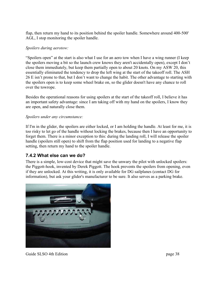flap, then return my hand to its position behind the spoiler handle. Somewhere around 400-500' AGL, I stop monitoring the spoiler handle.

#### *Spoilers during aerotow:*

"Spoilers open" at the start is also what I use for an aero tow when I have a wing runner (I keep the spoilers moving a bit so the launch crew knows they aren't accidentally open), except I don't close them immediately, but keep them partially open to about 20 knots. On my ASW 20, this essentially eliminated the tendency to drop the left wing at the start of the takeoff roll. The ASH 26 E isn't prone to that, but I don't want to change the habit. The other advantage to starting with the spoilers open is to keep some wheel brake on, so the glider doesn't have any chance to roll over the towrope.

Besides the operational reasons for using spoilers at the start of the takeoff roll, I believe it has an important safety advantage: since I am taking off with my hand on the spoilers, I know they are open, and naturally close them.

#### *Spoilers under any circumstance:*

If I'm in the glider, the spoilers are either locked, or I am holding the handle. At least for me, it is too risky to let go of the handle without locking the brakes, because then I have an opportunity to forget them. There is a minor exception to this: during the landing roll, I will release the spoiler handle (spoilers still open) to shift from the flap position used for landing to a negative flap setting, then return my hand to the spoiler handle.

#### <span id="page-37-0"></span>**7.4.2 What else can we do?**

There is a simple, low-cost device that might save the unwary the pilot with unlocked spoilers: the Piggott-hook, invented by Derek Piggott. The hook prevents the spoilers from opening, even if they are unlocked. At this writing, it is only available for DG sailplanes (contact DG for information), but ask your glider's manufacturer to be sure. It also serves as a parking brake.



Guide SLSO 4th Edition page 38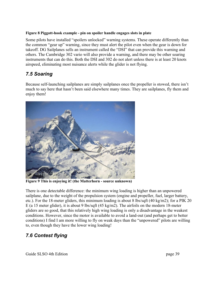#### **Figure 8 Piggott-hook example - pin on spoiler handle engages slots in plate**

Some pilots have installed "spoilers unlocked" warning systems. These operate differently than the common "gear up" warning, since they must alert the pilot even when the gear is down for takeoff. DG Sailplanes sells an instrument called the "DSI" that can provide this warning and others. The Cambridge 302 vario will also provide a warning, and there may be other soaring instruments that can do this. Both the DSI and 302 do not alert unless there is at least 20 knots airspeed, eliminating most nuisance alerts while the glider is not flying.

### <span id="page-38-1"></span>*7.5 Soaring*

Because self-launching sailplanes are simply sailplanes once the propeller is stowed, there isn't much to say here that hasn't been said elsewhere many times. They are sailplanes, fly them and enjoy them!



**Figure 9 This is enjoying it! (the Matterhorn - source unknown)**

There is one detectable difference: the minimum wing loading is higher than an unpowered sailplane, due to the weight of the propulsion system (engine and propeller, fuel, larger battery, etc.). For the 18-meter gliders, this minimum loading is about 8 lbs/sqft (40 kg/m2); for a PIK 20 E (a 15 meter glider), it is about 9 lbs/sqft (45 kg/m2). The airfoils on the modern 18-meter gliders are so good, that this relatively high wing loading is only a disadvantage in the weakest conditions. However, since the motor is available to avoid a land-out (and perhaps get to better conditions) I find I am more willing to fly on weak days than the "unpowered" pilots are willing to, even though they have the lower wing loading!

### <span id="page-38-0"></span>*7.6 Contest flying*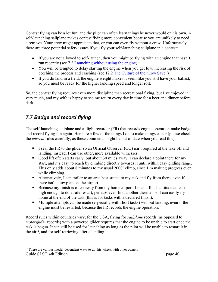Contest flying can be a lot fun, and the pilot can often learn things he never would on his own. A self-launching sailplane makes contest flying more convenient because you are unlikely to need a retrieve. Your crew might appreciate that, or you can even fly without a crew. Unfortunately, there are three potential safety issues if you fly your self-launching sailplane in a contest:

- If you are not allowed to self-launch, then you might be flying with an engine that hasn't run recently (see [7.2](#page-35-0) [Launching without using the engine\)](#page-35-0)
- You will be tempted to delay starting the engine when you get low, increasing the risk of botching the process and crashing (see [12.2](#page-50-0) [The Culture of the "Low Save"\)](#page-50-0)
- If you do land in a field, the engine weight makes it seem like you still have your ballast, so you must be ready for the higher landing speed and longer roll.

So, the contest flying requires even more discipline than recreational flying, but I've enjoyed it very much, and my wife is happy to see me return every day in time for a beer and dinner before dark!

### <span id="page-39-0"></span>*7.7 Badge and record flying*

The self-launching sailplane and a flight recorder (FR) that records engine operation make badge and record flying fun again. Here are a few of the things I do to make things easier (please check the *current* rules carefully, as these comments might be out of date when you read this):

- I seal the FR to the glider so an Official Observer (OO) isn't required at the take off and landing; instead, I can use other, more available witnesses.
- Good lift often starts early, but about 30 miles away. I can declare a point there for my start, and it's easy to reach by climbing directly towards it until within easy gliding range. This only adds about 8 minutes to my usual 2000' climb, since I'm making progress even while climbing.
- Alternatively, I can trailer to an area best suited to my task and fly from there, even if there isn't a towplane at the airport.
- Because my finish is often away from my home airport, I pick a finish altitude at least high enough to do a safe restart, perhaps even find another thermal, so I can easily fly home at the end of the task (this is for tasks with a declared finish).
- Multiple attempts can be made (especially with short tasks) without landing, even if the engine must be restarted, because the FR records the engine operation.

Record rules within countries vary; for the USA, flying for *sailplane* records (as opposed to *motorglider* records) with a powered glider requires that the engine to be unable to start once the task is begun. It can still be used for launching as long as the pilot will be unable to restart it in the  $air^{12}$  $air^{12}$  $air^{12}$ , and for self-retrieving after a landing.

<span id="page-39-1"></span> $12$  There are various model-dependent ways to do this; check with other owners Guide SLSO 4th Edition page 40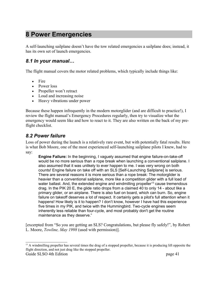## <span id="page-40-2"></span>**8 Power Emergencies**

A self-launching sailplane doesn't have the tow related emergencies a sailplane does; instead, it has its own set of launch emergencies.

#### <span id="page-40-1"></span>*8.1 In your manual…*

The flight manual covers the motor related problems, which typically include things like:

- $\bullet$  Fire
- Power loss
- Propeller won't retract
- Loud and increasing noise
- Heavy vibrations under power

Because these happen infrequently in the modern motorglider (and are difficult to practice!), I review the flight manual's Emergency Procedures regularly, then try to visualize what the emergency would seem like and how to react to it. They are also written on the back of my preflight checklist.

#### <span id="page-40-0"></span>*8.2 Power failure*

Loss of power during the launch is a relatively rare event, but with potentially fatal results. Here is what Bob Moore, one of the most experienced self-launching sailplane pilots I knew, had to say:

**Engine Failure:** In the beginning, I vaguely assumed that engine failure-on-take-off would be no more serious than a rope break when launching a conventional sailplane. I also assumed that it was unlikely to ever happen to me. I was very wrong on both counts! Engine failure on take off with an SLS [Self-Launching Sailplane] is serious. There are several reasons it is more serious than a rope break: The motorglider is heavier than a conventional sailplane, more like a competition glider with a full load of water ballast. And, the extended engine and windmilling propeller<sup>[13](#page-40-3)</sup> cause tremendous drag. In the PIK 20 E, the glide ratio drops from a claimed 40 to only 14 - about like a primary glider, or an airplane. There is also fuel on board, which can burn. So, engine failure on takeoff deserves a lot of respect. It certainly gets a pilot's full attention when it happens! How likely is it to happen? I don't know, however I have had this experience five times in my PIK, and twice with the Hummingbird. Two-cycle engines seem inherently less reliable than four-cycle, and most probably don't get the routine maintenance as they deserve."

[excerpted from "So you are getting an SLS? Congratulations, but please fly safely!", by Robert L. Moore, *Towline, May 1998* (used with permission)].

<span id="page-40-3"></span><sup>13</sup> A windmilling propeller has several times the drag of a stopped propeller, because it is producing lift opposite the flight direction, and not just drag like the stopped propeller. Guide SLSO 4th Edition page 41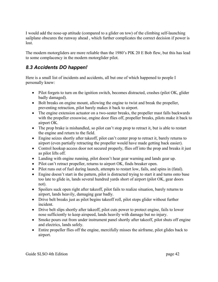I would add the nose-up attitude (compared to a glider on tow) of the climbing self-launching sailplane obscures the runway ahead , which further complicates the correct decision if power is lost.

The modern motorgliders are more reliable than the 1980's PIK 20 E Bob flew, but this has lead to some complacency in the modern motorglider pilot.

### <span id="page-41-0"></span>*8.3 Accidents DO happen!*

Here is a small list of incidents and accidents, all but one of which happened to people I personally knew:

- Pilot forgets to turn on the ignition switch, becomes distracted, crashes (pilot OK, glider badly damaged).
- Bolt breaks on engine mount, allowing the engine to twist and break the propeller, preventing retraction, pilot barely makes it back to airport.
- The engine extension actuator on a two-seater breaks, the propeller mast falls backwards with the propeller crosswise, engine door flies off, propeller breaks, pilots make it back to airport OK.
- The prop brake is mishandled, so pilot can't stop prop to retract it, but is able to restart the engine and return to the field.
- Engine seizes shortly after takeoff, pilot can't center prop to retract it, barely returns to airport (even partially retracting the propeller would have made getting back easier).
- Control hookup access door not secured properly, flies off into the prop and breaks it just as pilot lifts off.
- Landing with engine running, pilot doesn't hear gear warning and lands gear up.
- Pilot can't retract propeller, returns to airport OK, finds breaker open.
- Pilot runs out of fuel during launch, attempts to restart low, fails, and spins in (fatal).
- Engine doesn't start in the pattern, pilot is distracted trying to start it and turns onto base too late to glide in, lands several hundred yards short of airport (pilot OK, gear doors not).
- Spoilers suck open right after takeoff, pilot fails to realize situation, barely returns to airport, lands heavily, damaging gear badly.
- Drive belt breaks just as pilot begins takeoff roll, pilot stops glider without further incident.
- Drive belt slips shortly after takeoff, pilot cuts power to protect engine, fails to lower nose sufficiently to keep airspeed, lands heavily with damage but no injury.
- Smoke pours out from under instrument panel shortly after takeoff, pilot shuts off engine and electrics, lands safely.
- Entire propeller flies off the engine, mercifully misses the airframe, pilot glides back to airport.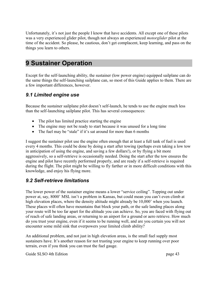Unfortunately, it's not just the people I know that have accidents. All except one of these pilots was a very experienced glider pilot, though not always an experienced *motorglider* pilot at the time of the accident. So please, be cautious, don't get complacent, keep learning, and pass on the things you learn to others.

## <span id="page-42-2"></span>**9 Sustainer Operation**

Except for the self-launching ability, the sustainer (low power engine) equipped sailplane can do the same things the self-launching sailplane can, so most of this Guide applies to them. There are a few important differences, however.

#### <span id="page-42-1"></span>*9.1 Limited engine use*

Because the sustainer sailplane pilot doesn't self-launch, he tends to use the engine much less than the self-launching sailplane pilot. This has several consequences:

- The pilot has limited practice starting the engine
- The engine may not be ready to start because it was unused for a long time
- The fuel may be "stale" if it's sat around for more than 6 months

I suggest the sustainer pilot use the engine often enough that at least a full tank of fuel is used every 4 months. This could be done by doing a start after towing (perhaps even taking a low tow in anticipation of using the engine, and saving a few dollars!), or by flying a bit more aggressively, so a self-retrieve is occasionally needed. Doing the start after the tow ensures the engine and pilot have recently performed properly, and are ready if a self-retrieve is required during the flight. The pilot might be willing to fly farther or in more difficult conditions with this knowledge, and enjoy his flying more.

#### <span id="page-42-0"></span>*9.2 Self-retrieve limitations*

The lower power of the sustainer engine means a lower "service ceiling". Topping out under power at, say, 8000' MSL isn't a problem in Kansas, but could mean you can't even climb at high elevation places, where the density altitude might already be 10,000' when you launch. These places will often have mountains that block your path, or the safe landing places along your route will be too far apart for the altitude you can achieve. So, you are faced with flying out of reach of safe landing areas, or returning to an airport for a ground or aero retrieve. How much do you trust your engine, even if it seems to be running well, and are you certain you will not encounter some mild sink that overpowers your limited climb ability?

An additional problem, and not just in high elevation areas, is the small fuel supply most sustainers have. It's another reason for not trusting your engine to keep running over poor terrain, even if you think you can trust the fuel gauge.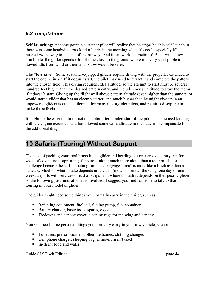#### <span id="page-43-1"></span>*9.3 Temptations*

**Self-launching:** At some point, a sustainer pilot will realize that he *might* be able self-launch, *if* there was some headwind, *and* kind of early in the morning when it's cool, especially if he pushed *all* the way to the end of the runway. And it can work - sometimes! But…with a low climb rate, the glider spends a lot of time close to the ground where it is very susceptible to downdrafts from wind or thermals. A tow would be safer.

**The "low save":** Some sustainer-equipped gliders require diving with the propeller extended to start the engine in air. If it doesn't start, the pilot may need to retract it and complete the pattern into the chosen field. This diving requires extra altitude, so the attempt to start must be several hundred feet higher than the desired pattern entry, and include enough altitude to stow the motor if it doesn't start. Giving up the flight well above pattern altitude (even higher than the same pilot would start a glider that has an electric starter, and much higher than he might give up in an unpowered glider) is quite a dilemma for many motorglider pilots, and requires discipline to make the safe choice.

It might not be essential to retract the motor after a failed start, if the pilot has practiced landing with the engine extended, and has allowed some extra altitude in the pattern to compensate for the additional drag.

## <span id="page-43-0"></span>**10 Safaris (Touring) Without Support**

The idea of packing your toothbrush in the glider and heading out on a cross-country trip for a week of adventure is appealing, for sure! Taking much more along than a toothbrush is a challenge because the self-launching sailplane baggage "area" is more like a briefcase than a suitcase. Much of what to take depends on the trip (motels or under the wing, one day or one week, airports with services or just airstrips) and where to stash it depends on the specific glider, so the following just hints at what is involved. I suggest you find someone to talk to that is touring in your model of glider.

The glider might need some things you normally carry in the trailer, such as

- Refueling equipment: fuel, oil, fueling pump, fuel container
- Battery charger, basic tools, spares, oxygen
- Tiedowns and canopy cover, cleaning rags for the wing and canopy

You will need some personal things you normally carry in your tow vehicle, such as

- Toiletries, prescription and other medicines, clothing changes
- Cell phone charger, sleeping bag (if motels aren't used)
- In-flight food and water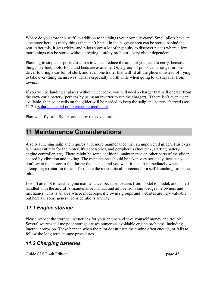Where do you store this stuff, in addition to the things you normally carry? Small pilots have an advantage here, as many things that can't be put in the baggage area can be stored behind the seat. After this, it gets tricky, and pilots show a lot of ingenuity to discover places where a few more things can be stored without creating a safety problem – very glider dependent!

Planning to stop at airports close to a town can reduce the amount you need to carry, because things like fuel, tools, food, and beds are available. Or, a group of pilots can arrange for one driver to bring a car full of stuff, and even one trailer that will fit all the gliders, instead of trying to take everything themselves. This is especially worthwhile when going to airstrips far from towns.

If you will be landing at places without electricity, you will need a charger that will operate from the crew car's battery (perhaps by using an inverter to run the charger). If there isn't even a car available, then solar cells on the glider will be needed to keep the sailplane battery charged (se[e](#page-47-0) [11.2.1](#page-47-0) [Solar cells \(and other charging methods\)\)](#page-47-0) .

Plan well, fly safe, fly far, and enjoy the adventure!

## <span id="page-44-2"></span>**11 Maintenance Considerations**

A self-launching sailplane requires a lot more maintenance than an unpowered glider. This extra is almost entirely for the motor, it's accessories, and peripherals (fuel tank, starting battery, engine controller, etc). There might be some additional maintenance on other parts of the glider caused by vibration and taxiing. The maintenance should be taken very seriously, because you don't want the motor to fail during the launch, and you want it to start immediately when attempting a restart in the air. Those are the most critical moments for a self-launching sailplane pilot.

I won't attempt to teach engine maintenance, because it varies from model to model, and is best handled with the aircraft's maintenance manual and advice from knowledgeable owners and mechanics. This is an area where model-specific owner groups and websites are very valuable, but here are some general considerations anyway.

### <span id="page-44-1"></span>*11.1 Engine storage*

Please respect the storage instructions for your engine and save yourself money and trouble. Several sources tell me poor storage causes numerous avoidable engine problems, including internal corrosion. These happen when the pilot doesn't run the engine often enough, or fails to follow the long term storage procedures.

### <span id="page-44-0"></span>*11.2 Charging batteries*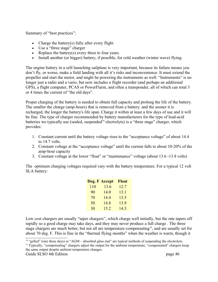Summary of "best practices":

- Charge the battery(s) fully after every flight
- Use a "three stage" charger
- Replace the battery(s) every three to four years.
- Install another (or bigger) battery, if possible, for cold weather (winter wave) flying.

The engine battery in a self-launching sailplane is very important, because its failure means you don't fly, or worse, make a field landing with all it's risks and inconvenience. It must extend the propeller and start the motor, and might be powering the instruments as well. "Instruments" is no longer just a radio and a vario, but now includes a flight recorder (and perhaps an additional GPS), a flight computer, PCAS or PowerFlarm, and often a transponder, all of which can total 3 or 4 times the current of "the old days".

Proper charging of the battery is needed to obtain full capacity and prolong the life of the battery. The smaller the charge (amp-hours) that is removed from a battery, and the sooner it is recharged, the longer the battery's life span. Charge it within at least a few days of use and it will be fine. The type of charger recommended by battery manufacturers for the type of lead-acid batteries we typically use (sealed, suspended<sup>[14](#page-45-0)</sup> electrolyte) is a "three stage" charger, which provides:

- 1. Constant current until the battery voltage rises to the "acceptance voltage" of about 14.4 to 14.7 volts.
- 2. Constant voltage at the "acceptance voltage" until the current falls to about 10-20% of the amp-hour capacity
- 3. Constant voltage at the lower "float" or "maintenance" voltage (about 13.6 -13.8 volts)

The optimum charging voltages required vary with the battery temperature. For a typical 12 volt SLA battery:

|     | Deg. F Accept | <b>Float</b> |
|-----|---------------|--------------|
| 110 | 13.6          | 12.7         |
| 90  | 14.0          | 13.1         |
| 70  | 14.4          | 13.5         |
| 50  | 14.8          | 13.9         |
| 30  | 15.2          | 14.3         |

Low cost chargers are usually "taper chargers", which charge well initially, but the rate tapers off rapidly so a good charge may take days, and they may never produce a full charge . The three stage chargers are much better, but not all are temperature compensating<sup>[15](#page-45-1)</sup>, and are usually set for about 70 deg. F. This is fine in the "thermal flying months" when the weather is warm, though it

<span id="page-45-0"></span><sup>&</sup>lt;sup>14</sup> "gelled" (rare these days) or "AGM – absorbed glass mat" are typical methods of suspending the electrolyte.

<span id="page-45-1"></span><sup>&</sup>lt;sup>15</sup> Typically, "compensating" chargers adjust the output for the ambient temperature, "compensated" chargers keep the same output despite ambient temperature changes.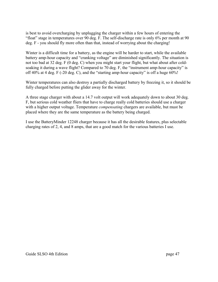is best to avoid overcharging by unplugging the charger within a few hours of entering the "float" stage in temperatures over 90 deg. F. The self-discharge rate is only 6% per month at 90 deg. F - you should fly more often than that, instead of worrying about the charging!

Winter is a difficult time for a battery, as the engine will be harder to start, while the available battery amp-hour capacity and "cranking voltage" are diminished significantly. The situation is not too bad at 32 deg. F (0 deg. C) when you might start your flight, but what about after coldsoaking it during a wave flight? Compared to 70 deg. F, the "instrument amp-hour capacity" is off 40% at 4 deg. F (-20 deg. C), and the "starting amp-hour capacity" is off a huge 60%!

Winter temperatures can also destroy a partially discharged battery by freezing it, so it should be fully charged before putting the glider away for the winter.

A three stage charger with about a 14.7 volt output will work adequately down to about 30 deg. F, but serious cold weather fliers that have to charge really cold batteries should use a charger with a higher output voltage. Temperature *compensating* chargers are available, but must be placed where they are the same temperature as the battery being charged.

I use the BatteryMinder 12248 charger because it has all the desirable features, plus selectable charging rates of 2, 4, and 8 amps, that are a good match for the various batteries I use.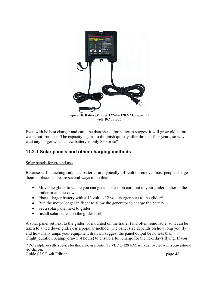

**volt DC output**

Even with he best charger and care, the data sheets for batteries suggest it will grow old before it wears out from use. The capacity begins to diminish quickly after three or four years, so why wait any longer when a new battery is only \$50 or so?

#### <span id="page-47-0"></span>**11.2.1 Solar panels and other charging methods**

#### Solar panels for ground use

Because self-launching sailplane batteries are typically difficult to remove, most people charge them in place. There are several ways to do this:

- Move the glider to where you can get an extension cord out to your glider, either in the trailer or at a tie-down
- Place a larger battery with a 12 volt to 12 volt charger next to the glider<sup>[16](#page-47-1)</sup>
- Run the motor longer in flight to allow the generator to charge the battery
- Set a solar panel next to glider
- Install solar panels on the glider itself

A solar panel set next to the glider, or mounted on the trailer (and often removable, so it can be taken to a tied down glider), is a popular method. The panel size depends on how long you fly and how many amps your equipment draws. I suggest the panel output be no less than (flight duration X amp  $d$ raw)/(4 hours) to ensure a full charge for the next day's flying. If you

<span id="page-47-1"></span> $^{16}$  DG Sailplanes sells a device for this; also, an inverter (12 VDC to 120 VAC unit) can be used with a conventional AC charger.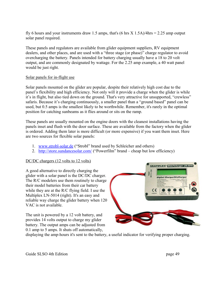fly 6 hours and your instruments draw 1.5 amps, that's  $(6 \text{ hrs } X 1.5\text{A})/4\text{hrs} = 2.25$  amp output solar panel required.

These panels and regulators are available from glider equipment suppliers, RV equipment dealers, and other places, and are used with a "three stage (or phase)" charge regulator to avoid overcharging the battery. Panels intended for battery charging usually have a 18 to 20 volt output, and are commonly designated by wattage. For the 2.25 amp example, a 40 watt panel would be just right.

#### Solar panels for in-flight use

Solar panels mounted on the glider are popular, despite their relatively high cost due to the panel's flexibility and high efficiency. Not only will it provide a charge when the glider is while it's in flight, but also tied down on the ground. That's very attractive for unsupported, "crewless" safaris. Because it's charging continuously, a smaller panel than a "ground based" panel can be used, but 0.5 amps is the smallest likely to be worthwhile. Remember, it's rarely in the optimal position for catching sunbeams as it flies around or sits on the ramp.

These panels are usually mounted on the engine doors with the cleanest installations having the panels inset and flush with the door surface. These are available from the factory when the glider is ordered. Adding them later is more difficult (or more expensive) if you want them inset. Here are two sources for flexible solar panels:

- 1. [www.strobl-solar.de](http://www.strobl-solar.de/) ("Strobl" brand used by Schleicher and others)
- 2. <http://store.sundancesolar.com/>("Powerfilm" brand cheap but low efficiency)

#### DC/DC chargers (12 volts to 12 volts)

A good alternative to directly charging the glider with a solar panel is the DC/DC charger. The R/C modelers use them routinely to charge their model batteries from their car battery while they are at the R/C flying field. I use the Multiplex LN-5014 (right). It's an easy and reliable way charge the glider battery when 120 VAC is not available.

The unit is powered by a 12 volt battery, and provides 14 volts output to charge my glider battery. The output amps can be adjusted from 0.1 amp to 5 amps. It shuts off automatically,



displaying the amp-hours it's sent to the battery, a useful indicator for verifying proper charging.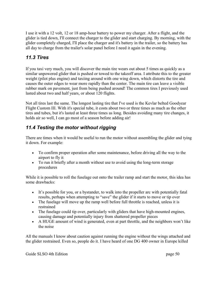I use it with a 12 volt, 12 or 18 amp-hour battery to power my charger. After a flight, and the glider is tied down, I'll connect the charger to the glider and start charging. By morning, with the glider completely charged, I'll place the charger and it's battery in the trailer, so the battery has all day to charge from the trailer's solar panel before I need it again in the evening.

### <span id="page-49-1"></span>*11.3 Tires*

If you taxi very much, you will discover the main tire wears out about 5 times as quickly as a similar unpowered glider that is pushed or towed to the takeoff area. I attribute this to the greater weight (pilot plus engine) and taxiing around with one wing down, which distorts the tire and causes the outer edges to wear more rapidly than the center. The main tire can leave a visible rubber mark on pavement, just from being pushed around! The common tires I previously used lasted about two and half years, or about 120 flights.

Not all tires last the same. The longest lasting tire that I've used is the Kevlar belted Goodyear Flight Custom III. With it's special tube, it costs about two or three times as much as the other tires and tubes, but it's lasted at least three times as long. Besides avoiding many tire changes, it holds air so well, I can go most of a season before adding air!

### <span id="page-49-0"></span>*11.4 Testing the motor without rigging*

There are times when it would be useful to run the motor without assembling the glider and tying it down. For example:

- To confirm proper operation after some maintenance, before driving all the way to the airport to fly it
- To run it briefly after a month without use to avoid using the long-term storage procedures

While it is possible to roll the fuselage out onto the trailer ramp and start the motor, this idea has some drawbacks:

- It's possible for you, or a bystander, to walk into the propeller arc with potentially fatal results, perhaps when attempting to "save" the glider if it starts to move or tip over
- The fuselage will move up the ramp well before full throttle is reached, unless it is restrained
- The fuselage could tip over, particularly with gliders that have high-mounted engines, causing damage and potentially injury from shattered propeller pieces
- A HUGE amount of wind is generated, even at part throttle, and the neighbors won't like the noise

All the manuals I know about caution against running the engine without the wings attached and the glider restrained. Even so, people do it. I have heard of one DG 400 owner in Europe killed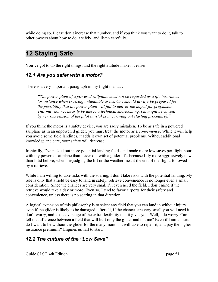while doing so. Please don't increase that number, and if you think you want to do it, talk to other owners about how to do it safely, and listen carefully.

## <span id="page-50-2"></span>**12 Staying Safe**

You've got to do the right things, and the right attitude makes it easier.

### <span id="page-50-1"></span>*12.1 Are you safer with a motor?*

There is a very important paragraph in my flight manual:

*"The power-plant of a powered sailplane must not be regarded as a life insurance, for instance when crossing unlandable areas. One should always be prepared for the possibility that the power-plant will fail to deliver the hoped-for propulsion. This may not necessarily be due to a technical shortcoming, but might be caused by nervous tension of the pilot (mistakes in carrying out starting procedure)."*

If you think the motor is a safety device, you are sadly mistaken. To be as safe in a powered sailplane as in an unpowered glider, you must treat the motor as a *convenience*. While it will help you avoid some field landings, it adds it own set of potential problems. Without additional knowledge and care, your safety will decrease.

Ironically, I've picked out more potential landing fields and made more low saves per flight hour with my powered sailplane than I ever did with a glider. It's because I fly more aggressively now than I did before, when misjudging the lift or the weather meant the end of the flight, followed by a retrieve.

While I am willing to take risks with the soaring, I don't take risks with the potential landing. My rule is only that a field be easy to land in safely; retrieve convenience is no longer even a small consideration. Since the chances are very small I'll even need the field, I don't mind if the retrieve would take a day or more. Even so, I tend to favor airports for their safety and convenience, unless there is no soaring in that direction.

A logical extension of this philosophy is to select any field that you can land in without injury, even if the glider is likely to be damaged; after all, if the chances are very small you will need it, don't worry, and take advantage of the extra flexibility that it gives you. Well, I do worry. Can I tell the difference between a field that will hurt only the glider and not me? Even if I am unhurt, do I want to be without the glider for the many months it will take to repair it, and pay the higher insurance premiums? Engines *do* fail to start.

### <span id="page-50-0"></span>*12.2 The culture of the "Low Save"*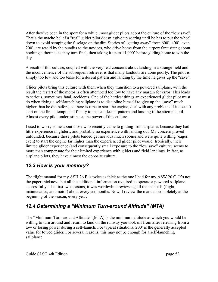After they've been in the sport for a while, most glider pilots adopt the culture of the "low save". That's the macho belief a "real" glider pilot doesn't give up soaring until he has to put the wheel down to avoid scraping the fuselage on the dirt. Stories of "getting away" from 600', 400', even 200', are retold by the pundits to the novices, who drive home from the airport fantasizing about hooking a thermal as they turn final, then taking it up to 14,000' before gliding home to win the day.

A result of this culture, coupled with the very real concerns about landing in a strange field and the inconvenience of the subsequent retrieve, is that many landouts are done poorly. The pilot is simply too low and too tense for a decent pattern and landing by the time he gives up the "save".

Glider pilots bring this culture with them when they transition to a powered sailplane, with the result the restart of the motor is often attempted too low to have any margin for error. This leads to serious, sometimes fatal, accidents. One of the hardest things an experienced glider pilot must do when flying a self-launching sailplane is to discipline himself to give up the "save" much higher than he did before, so there is time to start the engine, deal with any problems if it doesn't start on the first attempt, and finally to make a decent pattern and landing if the attempts fail. Almost every pilot underestimates the power of this culture.

I used to worry some about those who recently came to gliding from airplanes because they had little experience in gliders, and probably no experience with landing out. My concern proved unfounded, because these pilots tended get nervous much sooner and were quite willing (eager, even) to start the engine far higher than the experienced glider pilot would. Ironically, their limited glider experience (and consequently small exposure to the "low save" culture) seems to more than compensate for their limited experience with gliders and field landings. In fact, as airplane pilots, they have almost the opposite culture.

### <span id="page-51-1"></span>*12.3 How is your memory?*

The flight manual for my ASH 26 E is twice as thick as the one I had for my ASW 20 C. It's not the paper thickness, but all the additional information required to operate a powered sailplane successfully. The first two seasons, it was worthwhile reviewing all the manuals (flight, maintenance, and motor) about every six months. Now, I review the manuals completely at the beginning of the season, every year.

### <span id="page-51-0"></span>*12.4 Determining a "Minimum Turn-around Altitude" (MTA)*

The "Minimum Turn-around Altitude" (MTA) is the minimum altitude at which you would be willing to turn around and return to land on the runway you took off from after releasing from a tow or losing power during a self-launch. For typical situations, 200' is the generally accepted value for towed glider. For several reasons, this may not be enough for a self-launching sailplane: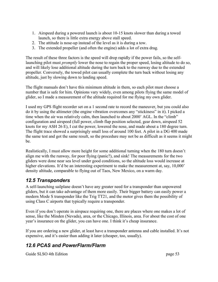- 1. Airspeed during a powered launch is about 10-15 knots slower than during a towed launch, so there is little extra energy above stall speed.
- 2. The attitude is nose-up instead of the level as it is during a tow.
- 3. The extended propeller (and often the engine) adds a lot of extra drag.

The result of these three factors is the speed will drop rapidly if the power fails, so the selflaunching pilot must *promptly* lower the nose to regain the proper speed, losing altitude to do so, and will likely lose additional altitude during the turn back to the runway due to the extended propeller. Conversely, the towed pilot can usually complete the turn back without losing any altitude, just by slowing down to landing speed.

The flight manuals don't have this minimum altitude in them, so each pilot must choose a number that is safe for him. Opinions vary widely, even among pilots flying the same model of glider, so I made a measurement of the altitude required for me flying my own glider.

I used my GPS flight recorder set on a 1 second rate to record the maneuver, but you could also do it by using the altimeter (the engine vibration overcomes any "stickiness" in it). I picked a time when the air was relatively calm, then launched to about 2000' AGL. In the "climb" configuration and airspeed (full power, climb flap position selected, gear down, airspeed 52 knots for my ASH 26 E), I cut the power, lowered the nose, and made about a 180 degree turn. The flight trace showed a surprisingly small loss of around 100 feet. A pilot in a DG 400 made the same test and got the same result, so the procedure may not be as difficult as it seems it might be.

Realistically, I must allow more height for some additional turning when the 180 turn doesn't align me with the runway, for poor flying (panic?), and sink! The measurements for the two gliders were done near sea level under good conditions, so the altitude loss would increase at higher elevations. It'd be an interesting experiment to make the measurement at, say, 10,000' density altitude, comparable to flying out of Taos, New Mexico, on a warm day.

### *12.5 Transponders*

A self-launching sailplane doesn't have any greater need for a transponder than unpowered gliders, but it can take advantage of them more easily. Their bigger battery can easily power a modern Mode S transponder like the Trig TT21, and the motor gives them the possibility of using Class C airports that typically require a transponder.

Even if you don't operate in airspace requiring one, there are places where one makes a lot of sense, like the Minden (Nevada), area, or the Chicago, Illinois, area. For about the cost of one year's insurance on the glider, you can have one. I think it's cheap insurance.

If you are ordering a new glider, at least have a transponder antenna and cable installed. It's not expensive, and it's easier than adding it later (cheaper, too, usually).

## *12.6 PCAS and PowerFlarm/Flarm*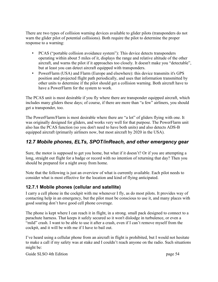There are two types of collision warning devices available to glider pilots (transponders do not warn the glider pilot of potential collisions). Both require the pilot to determine the proper response to a warning:

- PCAS ("portable collision avoidance system"): This device detects transponders operating within about 5 miles of it, displays the range and relative altitude of the other aircraft, and warns the pilot if it approaches too closely. It doesn't make you "detectable", but at least you can detect aircraft equipped with transponders.
- PowerFlarm (USA) and Flarm (Europe and elsewhere): this device transmits it's GPS position and projected flight path periodically, and uses that information transmitted by other units to determine if the pilot should get a collision warning. Both aircraft have to have a PowerFlarm for the system to work.

The PCAS unit is most desirable if you fly where there are transponder equipped aircraft, which includes many gliders these days; of course, if there are more than "a few" airliners, you should get a transponder, too.

The PowerFlarm/Flarm is most desirable where there are "a lot" of gliders flying with one. It was originally designed for gliders, and works very well for that purpose. The PowerFlarm unit also has the PCAS function (so you don't need to have both units) and also detects ADS-B equipped aircraft (primarily airliners now, but most aircraft by 2020 in the USA).

#### <span id="page-53-2"></span><span id="page-53-1"></span>*12.7 Mobile phones, ELTs, SPOT/inReach, and other emergency gear*

Sure, the motor is supposed to get you home, but what if it doesn't? Or if you are attempting a long, straight out flight for a badge or record with no intention of returning that day? Then you should be prepared for a night away from home.

Note that the following is just an overview of what is currently available. Each pilot needs to consider what is most effective for the location and kind of flying anticipated.

#### <span id="page-53-0"></span>**12.7.1 Mobile phones (cellular and satellite)**

I carry a cell phone in the cockpit with me whenever I fly, as do most pilots. It provides way of contacting help in an emergency, but the pilot must be conscious to use it, and many places with good soaring don't have good cell phone coverage.

The phone is kept where I can reach it in flight, in a strong. small pack designed to connect to a parachute harness. That keeps it safely secured so it won't dislodge in turbulence, or even a "mild" crash. I want to be able to use it after a crash, even if I can't remove myself from the cockpit, and it will be with me if I have to bail out.

I've heard using a cellular phone from an aircraft in flight is prohibited, but I would not hesitate to make a call if my safety was at stake and I couldn't reach anyone on the radio. Such situations might be: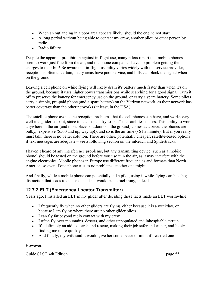- When an outlanding in a poor area appears likely, should the engine not start
- A long period without being able to contact my crew, another pilot, or other person by radio
- Radio failure

Despite the apparent prohibition against in-flight use, many pilots report that mobile phones seem to work just fine from the air, and the phone companies have no problem getting the charges to their bill! Be aware that in-flight usability varies widely with the service provider, reception is often uncertain, many areas have poor service, and hills can block the signal when on the ground.

Leaving a cell phone on while flying will likely drain it's battery much faster than when it's on the ground, because it uses higher power transmissions while searching for a good signal. Turn it off to preserve the battery for emergency use on the ground, or carry a spare battery. Some pilots carry a simple, pre-paid phone (and a spare battery) on the Verizon network, as their network has better coverage than the other networks (at least, in the USA).

The satellite phone avoids the reception problems that the cell phones can have, and works very well in a glider cockpit, since it needs open sky to "see" the satellites is uses. This ability to work anywhere in the air (and most places outdoors on the ground) comes at a price: the phones are bulky, expensive (\$500 and up, way up!), and so is the air time  $(\sim 1)$  a minute). But if you really must talk, there is no better solution. There are other, potentially cheaper, satellite-based options if text messages are adequate – see a following section on the inReach and Spidertracks.

I haven't heard of any interference problems, but any transmitting device (such as a mobile phone) should be tested on the ground before you use it in the air, as it may interfere with the engine electronics. Mobile phones in Europe use different frequencies and formats than North America, so even if one phone causes no problems, another one might.

And finally, while a mobile phone can potentially aid a pilot, using it while flying can be a big distraction that leads to an accident. That would be a cruel irony, indeed.

#### <span id="page-54-0"></span>**12.7.2 ELT (Emergency Locator Transmitter)**

Years ago, I installed an ELT in my glider after deciding these facts made an ELT worthwhile:

- I frequently fly when no other gliders are flying, either because it is a weekday, or because I am flying where there are no other glider pilots
- I can fly far beyond radio contact with my crew
- I often fly over mountains, deserts, and other unpopulated and inhospitable terrain
- It's definitely an aid to search and rescue, making their job safer and easier, and likely finding me more quickly
- And finally, my wife said it would give her some peace of mind if I carried one

However...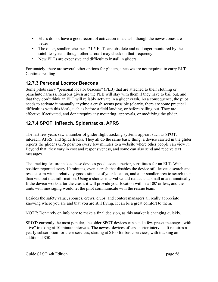- ELTs do not have a good record of activation in a crash, though the newest ones are better
- The older, smaller, cheaper 121.5 ELTs are obsolete and no longer monitored by the satellite system, though other aircraft may check on that frequency
- New ELTs are expensive and difficult to install in gliders

Fortunately, there are several other options for gliders, since we are not required to carry ELTs. Continue reading ...

#### **12.7.3 Personal Locator Beacons**

Some pilots carry "personal locator beacons" (PLB) that are attached to their clothing or parachute harness. Reasons given are the PLB will stay with them if they have to bail out, and that they don't think an ELT will reliably activate in a glider crash. As a consequence, the pilot needs to activate it manually anytime a crash seems possible (clearly, there are some practical difficulties with this idea), such as before a field landing, or before bailing out. They are effective if activated, and don't require any mounting, approvals, or modifying the glider.

#### **12.7.4 SPOT, inReach, Spidertracks, APRS**

The last few years saw a number of glider flight tracking systems appear, such as SPOT, inReach, APRS, and Spidertracks. They all do the same basic thing: a device carried in the glider reports the glider's GPS position every few minutes to a website where other people can view it. Beyond that, they vary in cost and responsiveness, and some can also send and receive text messages.

The tracking feature makes these devices good, even superior, substitutes for an ELT. With position reported every 10 minutes, even a crash that disables the device still leaves a search and rescue team with a relatively good estimate of your location, and a far smaller area to search than than without that information. Using a shorter interval would reduce that small area dramatically. If the device works after the crash, it will provide your location within a 100' or less, and the units with messaging would let the pilot communicate with the rescue team.

Besides the safety value, spouses, crews, clubs, and contest managers all really appreciate knowing where you are and that you are still flying. It can be a great comfort to them.

NOTE: Don't rely on info here to make a final decision, as this market is changing quickly.

**SPOT**: currently the most popular, the older SPOT devices can send a few preset messages, with "live" tracking at 10 minute intervals. The newest devices offers shorter intervals. It requires a yearly subscription for these services, starting at \$100 for basic services, with tracking an additional \$50.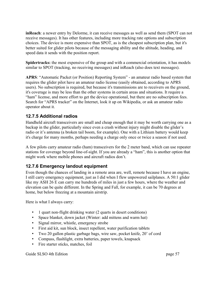**inReach**: a newer entry by Delorme, it can receive messages as well as send them (SPOT can not receive messages). It has other features, including more tracking rate options and subscription choices. The device is more expensive than SPOT, as is the cheapest subscription plan, but it's better suited for glider pilots because of the messaging ability and the altitude, heading, and speed data it sends with the position report.

**Spidertracks:** the most expensive of the group and with a commercial orientation, it has models similar to SPOT (tracking, no receiving messages) and inReach (also does text messages).

**APRS**: "Automatic Packet (or Position) Reporting System" - an amateur radio based system that requires the glider pilot have an amateur radio license (easily obtained, according to APRS users). No subscription is required, but because it's transmissions are to receivers on the ground, it's coverage is may be less than the other systems in certain areas and situations. It require a "ham" license, and more effort to get the device operational, but there are no subscription fees. Search for "APRS tracker" on the Internet, look it up on Wikipedia, or ask an amateur radio operator about it.

#### <span id="page-56-1"></span>**12.7.5 Additional radios**

Handheld aircraft transceivers are small and cheap enough that it may be worth carrying one as a backup in the glider, particularly since even a crash without injury might disable the glider's radio or it's antenna (a broken tail boom, for example). One with a Lithium battery would keep it's charge for many months, perhaps needing a charge only once or twice a season if not used.

A few pilots carry amateur radio (ham) transceivers for the 2 meter band, which can use repeater stations for coverage beyond line-of-sight. If you are already a "ham", this is another option that might work where mobile phones and aircraft radios don't.

#### <span id="page-56-0"></span>**12.7.6 Emergency landout equipment**

Even though the chances of landing in a remote area are, well, remote because I have an engine, I still carry emergency equipment, just as I did when I flew unpowered sailplanes. A 50:1 glider like my ASH 26 E can carry me hundreds of miles in just a few hours, where the weather and elevation can be quite different. In the Spring and Fall, for example, it can be 70 degrees at home, but below freezing at a mountain airstrip.

Here is what I always carry:

- 1 quart non-flight drinking water (2 quarts in desert conditions)
- Space blanket, down jacket (Winter: add mittens and warm hat)
- Signal mirror, whistle, emergency strobe
- First aid kit, sun block, insect repellent, water purification tablets
- Two 20 gallon plastic garbage bags, wire saw, pocket knife, 20' of cord
- Compass, flashlight, extra batteries, paper towels, knapsack
- Fire starter sticks, matches, foil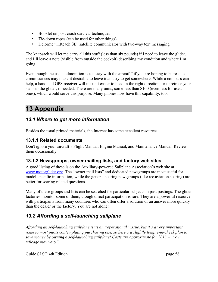- Booklet on post-crash survival techniques
- Tie-down ropes (can be used for other things)
- Delorme "inReach SE" satellite communicator with two-way text messaging

The knapsack will let me carry all this stuff (less than six pounds) if I need to leave the glider, and I'll leave a note (visible from outside the cockpit) describing my condition and where I'm going.

Even though the usual admonition is to "stay with the aircraft" if you are hoping to be rescued, circumstances may make it desirable to leave it and try to get somewhere. While a compass can help, a handheld GPS receiver will make it easier to head in the right direction, or to retrace your steps to the glider, if needed. There are many units, some less than \$100 (even less for used ones), which would serve this purpose. Many phones now have this capability, too.

## <span id="page-57-4"></span>**13 Appendix**

#### <span id="page-57-3"></span>*13.1 Where to get more information*

Besides the usual printed materials, the Internet has some excellent resources.

#### <span id="page-57-2"></span>**13.1.1 Related documents**

Don't ignore your aircraft's Flight Manual, Engine Manual, and Maintenance Manual. Review them occasionally.

#### <span id="page-57-1"></span>**13.1.2 Newsgroups, owner mailing lists, and factory web sites**

A good listing of these is on the Auxiliary-powered Sailplane Association's web site at [www.motorglider.org.](http://www.motorglider.org/) The "owner mail lists" and dedicated newsgroups are most useful for model-specific information, while the general soaring newsgroups (like rec.aviation.soaring) are better for soaring related questions.

Many of these groups and lists can be searched for particular subjects in past postings. The glider factories monitor some of them, though direct participation is rare. They are a powerful resource with participants from many countries who can often offer a solution or an answer more quickly than the dealer or the factory. You are not alone!

### <span id="page-57-0"></span>*13.2 Affording a self-launching sailplane*

*Affording an self-launching sailplane isn't an "operational" issue, but it's a very important issue to most pilots contemplating purchasing one, so here's a slightly tongue-in-cheek plan to save money by owning a self-launching sailplane! Costs are approximate for 2013 – "your mileage may vary".*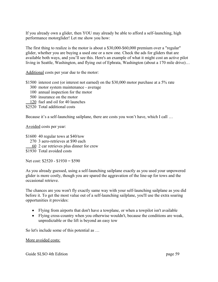If you already own a glider, then YOU may already be able to afford a self-launching, high performance motorglider! Let me show you how:

The first thing to realize is the motor is about a \$30,000-\$60,000 premium over a "regular" glider, whether you are buying a used one or a new one. Check the ads for gliders that are available both ways, and you'll see this. Here's an example of what it might cost an active pilot living in Seattle, Washington, and flying out of Ephrata, Washington (about a 170 mile drive)…

Additional costs per year due to the motor:

\$1500 interest cost (or interest not earned) on the \$30,000 motor purchase at a 5% rate

- 300 motor system maintenance average
- 100 annual inspection for the motor
- 500 insurance on the motor
- 120 fuel and oil for 40 launches
- \$2520 Total additional costs

Because it's a self-launching sailplane, there are costs you won't have, which I call ...

Avoided costs per year:

- \$1600 40 regular tows at \$40/tow
	- 270 3 aero-retrieves at \$90 each
	- 60 2 car retrieves plus dinner for crew
- \$1930 Total avoided costs

Net cost: \$2520 - \$1930 = \$590

As you already guessed, using a self-launching sailplane exactly as you used your unpowered glider is more costly, though you are spared the aggravation of the line-up for tows and the occasional retrieve.

The chances are you won't fly exactly same way with your self-launching sailplane as you did before it. To get the most value out of a self-launching sailplane, you'll use the extra soaring opportunities it provides:

- Flying from airports that don't have a towplane, or when a towpilot isn't available
- Flying cross-country when you otherwise wouldn't, because the conditions are weak, unpredictable or the lift is beyond an easy tow

So let's include some of this potential as …

More avoided costs: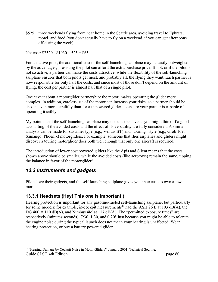\$525 three weekends flying from near home in the Seattle area, avoiding travel to Ephrata, motel, and food (you don't actually have to fly on a weekend, if you can get afternoons off during the week)

Net cost: \$2520 - \$1930 – 525 = \$65

For an active pilot, the additional cost of the self-launching sailplane may be easily outweighed by the advantages, providing the pilot can afford the extra purchase price. If not, or if the pilot is not so active, a partner can make the costs attractive, while the flexibility of the self-launching sailplane ensures that both pilots get most, and probably all, the flying they want. Each partner is now responsible for only half the costs, and since most of those don't depend on the amount of flying, the cost per partner is almost half that of a single pilot.

One caveat about a motorglider partnership: the motor makes operating the glider more complex; in addition, careless use of the motor can increase your risks, so a partner should be chosen even more carefully than for a unpowered glider, to ensure your partner is capable of operating it safely.

My point is that the self-launching sailplane may not as expensive as you might think, if a good accounting of the avoided costs and the effect of its versatility are fully considered. A similar analysis can be made for sustainer type (e.g., Ventus BT) and "touring" style (e.g., Grob 109, Ximango, Phoenix) motorgliders. For example, someone that flies airplanes and gliders might discover a touring motorglider does both well enough that only one aircraft is required.

The introduction of lower cost powered gliders like the Apis and Silent means that the costs shown above should be smaller, while the avoided costs (like aerotows) remain the same, tipping the balance in favor of the motorglider!

#### <span id="page-59-1"></span>*13.3 Instruments and gadgets*

Pilots love their gadgets, and the self-launching sailplane gives you an excuse to own a few more.

#### <span id="page-59-0"></span>**13.3.1 Headsets (Hey! This one is important!)**

Hearing protection is important for any gasoline-fueled self-launching sailplane, but particularly for some models: for example, in-cockpit measurements<sup>[17](#page-59-2)</sup> had the ASH 26 E at 103 dB(A), the DG 400 at 110 dB(A), and Nimbus 4M at 117 dB(A). The "permitted exposure times" are, respectively (minutes:seconds): 7:30, 1:30, and 0:20! Just because you might be able to tolerate the engine noise during the typical launch does not mean your hearing is unaffected. Wear hearing protection, or buy a battery powered glider.

<span id="page-59-2"></span><sup>&</sup>lt;sup>17</sup> "Hearing Damage by Cockpit Noise in Motor Gliders", January 2001, Technical Soaring. Guide SLSO 4th Edition page 60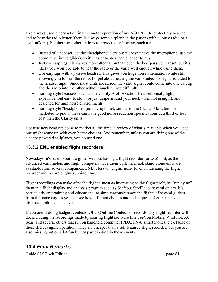I've always used a headset during the motor operation of my ASH 26 E to protect my hearing and to hear the radio better (there is always some airplane in the pattern with a lousy radio or a "soft talker"), but there are other options to protect your hearing, such as:

- Instead of a headset, get the "headphone" version: it doesn't have the microphone (use the boom mike in the glider), so it's easier to stow and cheaper to buy.
- Just use earplugs. This gives more attenuation than even the best passive headset, but it's likely you won't be able to hear the radio or the vario well enough while using them.
- Use earplugs with a passive headset. This gives you huge noise attenuation while still allowing you to hear the radio. Forget about hearing the vario unless its signal is added to the headset input. Since most units are stereo, the vario signal could come into one earcup and the radio into the other without much wiring difficulty.
- Earplug style headsets, such as the Clarity Aloft Aviation Headset. Small, light, expensive, but easy to stow (or just drape around your neck when not using it), and designed for high noise environments
- Earplug style "headphone" (no microphone), similar to the Clarity Aloft, but not marketed to pilots, these can have good noise reduction specifications at a third or less cost than the Clarity units.

Because new headsets come to market all the time, a review of what's available when you need one might come up with even better choices. And remember, unless you are flying one of the electric powered sailplanes, you do need one!

#### <span id="page-60-1"></span>**13.3.2 ENL enabled flight recorders**

Nowadays, it's hard to outfit a glider without having a flight recorder (or two) in it, as the advanced variometers and flight computers have them built-in; if not, stand-alone units are available from several companies. ENL refers to "engine noise level", indicating the flight recorder will record engine running time.

Flight recordings can make after the flight almost as interesting as the flight itself, by "replaying" them in a flight display and analysis program such as SeeYou, StrePla, or several others. It's particularly entertaining and educational to simultaneously show the flights of several gliders from the same day, as you can see how different choices and techniques affect the speed and distance a pilot can achieve.

If you aren't doing badges, contests, OLC (OnLine Contest) or records, any flight recorder will do, including the recordings made by soaring flight software like SeeYou Mobile, WinPilot, XC Soar, and several others that run on handheld computer (PDA, PNA, smartphones, etc). None of those detect engine operation. They are cheaper than a full featured flight recorder, but you are also missing out on a lot fun by not participating in those events.

### <span id="page-60-0"></span>*13.4 Final Remarks*